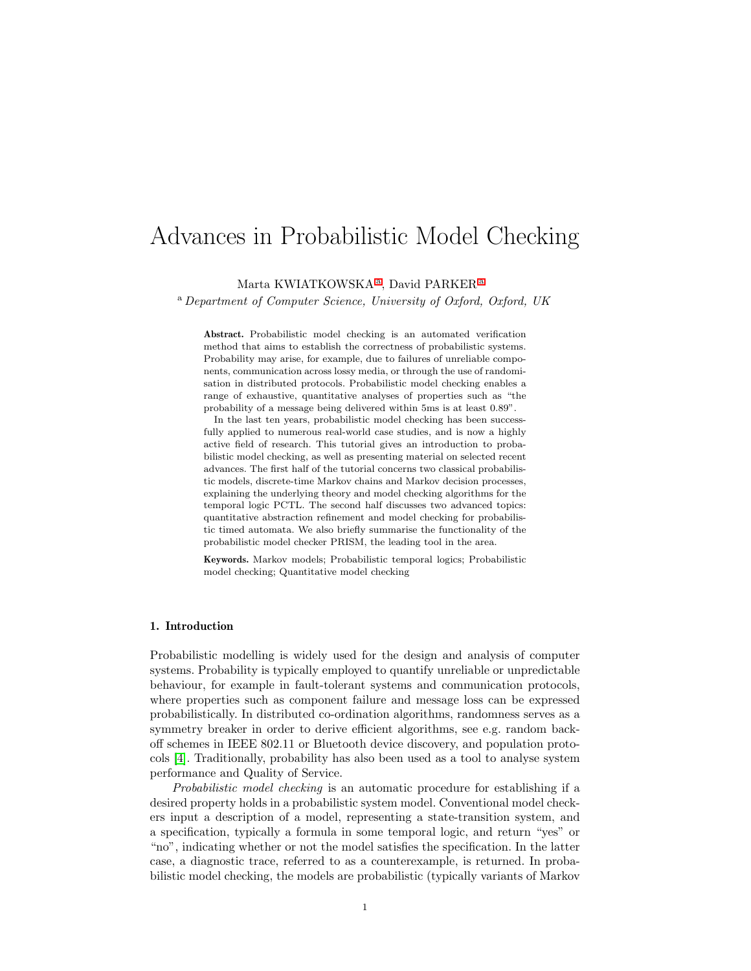# Advances in Probabilistic Model Checking

<span id="page-0-0"></span>M[a](#page-0-0)rta KWIATKOWSKA<sup>a</sup>, David PARKER<sup>a</sup>

<sup>a</sup> Department of Computer Science, University of Oxford, Oxford, UK

Abstract. Probabilistic model checking is an automated verification method that aims to establish the correctness of probabilistic systems. Probability may arise, for example, due to failures of unreliable components, communication across lossy media, or through the use of randomisation in distributed protocols. Probabilistic model checking enables a range of exhaustive, quantitative analyses of properties such as "the probability of a message being delivered within 5ms is at least 0.89".

In the last ten years, probabilistic model checking has been successfully applied to numerous real-world case studies, and is now a highly active field of research. This tutorial gives an introduction to probabilistic model checking, as well as presenting material on selected recent advances. The first half of the tutorial concerns two classical probabilistic models, discrete-time Markov chains and Markov decision processes, explaining the underlying theory and model checking algorithms for the temporal logic PCTL. The second half discusses two advanced topics: quantitative abstraction refinement and model checking for probabilistic timed automata. We also briefly summarise the functionality of the probabilistic model checker PRISM, the leading tool in the area.

Keywords. Markov models; Probabilistic temporal logics; Probabilistic model checking; Quantitative model checking

# 1. Introduction

Probabilistic modelling is widely used for the design and analysis of computer systems. Probability is typically employed to quantify unreliable or unpredictable behaviour, for example in fault-tolerant systems and communication protocols, where properties such as component failure and message loss can be expressed probabilistically. In distributed co-ordination algorithms, randomness serves as a symmetry breaker in order to derive efficient algorithms, see e.g. random backoff schemes in IEEE 802.11 or Bluetooth device discovery, and population protocols [\[4\]](#page-22-0). Traditionally, probability has also been used as a tool to analyse system performance and Quality of Service.

Probabilistic model checking is an automatic procedure for establishing if a desired property holds in a probabilistic system model. Conventional model checkers input a description of a model, representing a state-transition system, and a specification, typically a formula in some temporal logic, and return "yes" or "no", indicating whether or not the model satisfies the specification. In the latter case, a diagnostic trace, referred to as a counterexample, is returned. In probabilistic model checking, the models are probabilistic (typically variants of Markov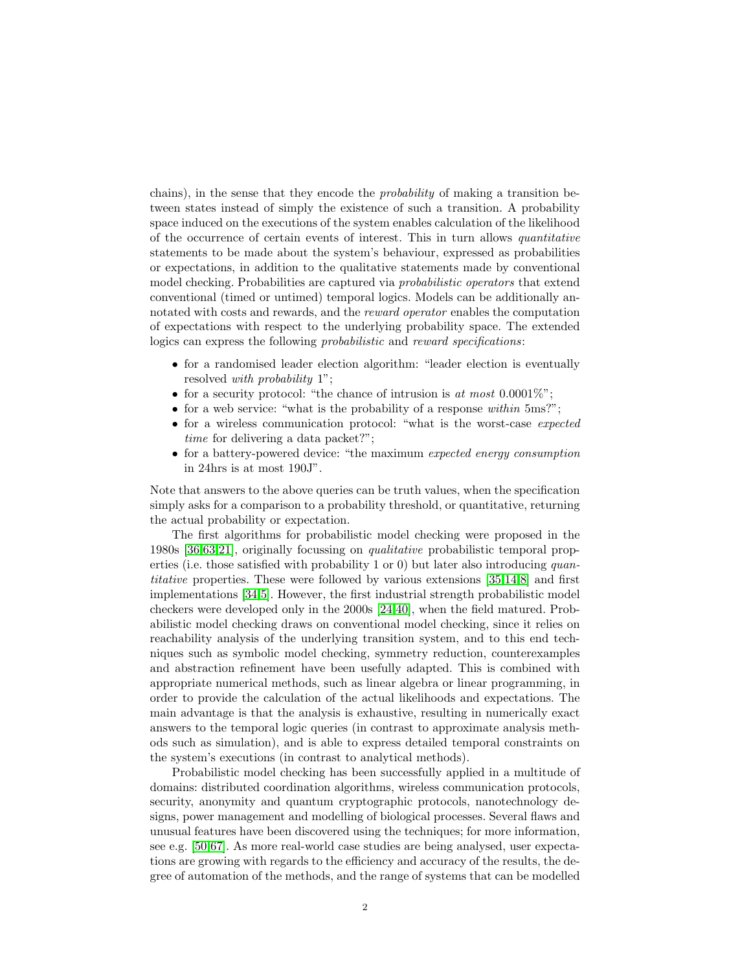chains), in the sense that they encode the probability of making a transition between states instead of simply the existence of such a transition. A probability space induced on the executions of the system enables calculation of the likelihood of the occurrence of certain events of interest. This in turn allows quantitative statements to be made about the system's behaviour, expressed as probabilities or expectations, in addition to the qualitative statements made by conventional model checking. Probabilities are captured via *probabilistic operators* that extend conventional (timed or untimed) temporal logics. Models can be additionally annotated with costs and rewards, and the *reward operator* enables the computation of expectations with respect to the underlying probability space. The extended logics can express the following *probabilistic* and *reward specifications*:

- for a randomised leader election algorithm: "leader election is eventually resolved with probability 1";
- for a security protocol: "the chance of intrusion is at most  $0.0001\%$ ";
- for a web service: "what is the probability of a response within 5ms?";
- for a wireless communication protocol: "what is the worst-case expected time for delivering a data packet?";
- for a battery-powered device: "the maximum expected energy consumption in 24hrs is at most 190J".

Note that answers to the above queries can be truth values, when the specification simply asks for a comparison to a probability threshold, or quantitative, returning the actual probability or expectation.

The first algorithms for probabilistic model checking were proposed in the 1980s [\[36,](#page-24-0)[63,](#page-25-0)[21\]](#page-23-0), originally focussing on qualitative probabilistic temporal properties (i.e. those satisfied with probability 1 or 0) but later also introducing quantitative properties. These were followed by various extensions [\[35,](#page-24-1)[14,](#page-23-1)[8\]](#page-22-1) and first implementations [\[34,](#page-24-2)[5\]](#page-22-2). However, the first industrial strength probabilistic model checkers were developed only in the 2000s [\[24,](#page-23-2)[40\]](#page-24-3), when the field matured. Probabilistic model checking draws on conventional model checking, since it relies on reachability analysis of the underlying transition system, and to this end techniques such as symbolic model checking, symmetry reduction, counterexamples and abstraction refinement have been usefully adapted. This is combined with appropriate numerical methods, such as linear algebra or linear programming, in order to provide the calculation of the actual likelihoods and expectations. The main advantage is that the analysis is exhaustive, resulting in numerically exact answers to the temporal logic queries (in contrast to approximate analysis methods such as simulation), and is able to express detailed temporal constraints on the system's executions (in contrast to analytical methods).

Probabilistic model checking has been successfully applied in a multitude of domains: distributed coordination algorithms, wireless communication protocols, security, anonymity and quantum cryptographic protocols, nanotechnology designs, power management and modelling of biological processes. Several flaws and unusual features have been discovered using the techniques; for more information, see e.g. [\[50,](#page-25-1)[67\]](#page-25-2). As more real-world case studies are being analysed, user expectations are growing with regards to the efficiency and accuracy of the results, the degree of automation of the methods, and the range of systems that can be modelled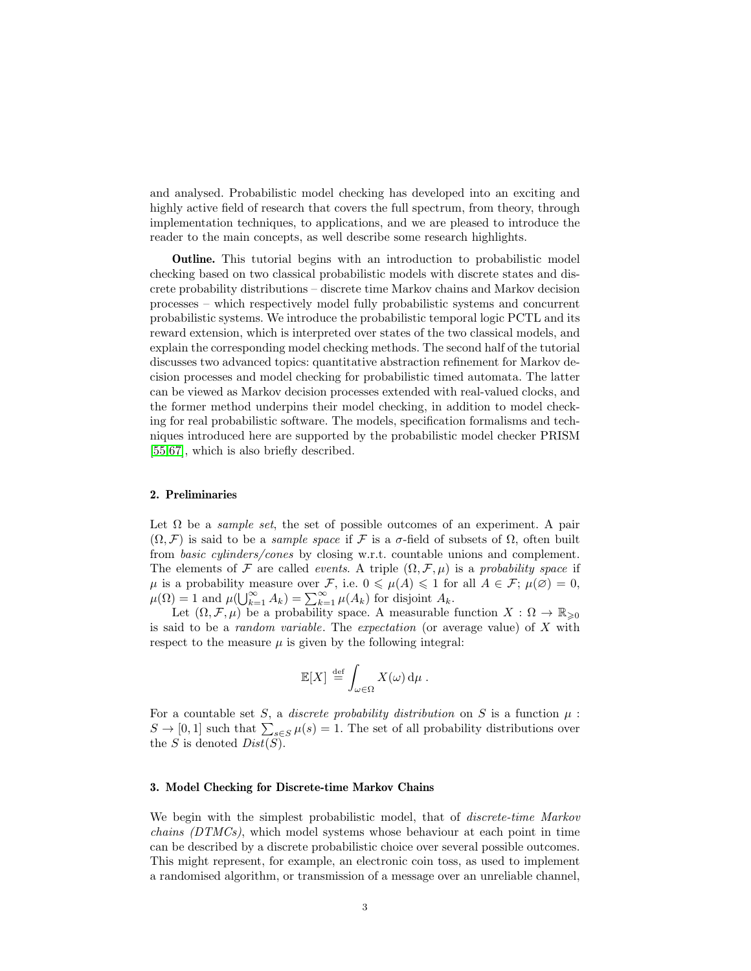and analysed. Probabilistic model checking has developed into an exciting and highly active field of research that covers the full spectrum, from theory, through implementation techniques, to applications, and we are pleased to introduce the reader to the main concepts, as well describe some research highlights.

Outline. This tutorial begins with an introduction to probabilistic model checking based on two classical probabilistic models with discrete states and discrete probability distributions – discrete time Markov chains and Markov decision processes – which respectively model fully probabilistic systems and concurrent probabilistic systems. We introduce the probabilistic temporal logic PCTL and its reward extension, which is interpreted over states of the two classical models, and explain the corresponding model checking methods. The second half of the tutorial discusses two advanced topics: quantitative abstraction refinement for Markov decision processes and model checking for probabilistic timed automata. The latter can be viewed as Markov decision processes extended with real-valued clocks, and the former method underpins their model checking, in addition to model checking for real probabilistic software. The models, specification formalisms and techniques introduced here are supported by the probabilistic model checker PRISM [\[55,](#page-25-3)[67\]](#page-25-2), which is also briefly described.

#### 2. Preliminaries

Let  $\Omega$  be a *sample set*, the set of possible outcomes of an experiment. A pair  $(\Omega, \mathcal{F})$  is said to be a *sample space* if  $\mathcal F$  is a  $\sigma$ -field of subsets of  $\Omega$ , often built from basic cylinders/cones by closing w.r.t. countable unions and complement. The elements of F are called *events.* A triple  $(\Omega, \mathcal{F}, \mu)$  is a probability space if  $\mu$  is a probability measure over F, i.e.  $0 \leq \mu(A) \leq 1$  for all  $A \in \mathcal{F}$ ;  $\mu(\emptyset) = 0$ ,  $\mu(\Omega) = 1$  and  $\mu(\bigcup_{k=1}^{\infty} A_k) = \sum_{k=1}^{\infty} \mu(A_k)$  for disjoint  $A_k$ .

Let  $(\Omega, \mathcal{F}, \mu)$  be a probability space. A measurable function  $X : \Omega \to \mathbb{R}_{\geqslant 0}$ is said to be a random variable. The expectation (or average value) of X with respect to the measure  $\mu$  is given by the following integral:

$$
\mathbb{E}[X] \stackrel{\text{def}}{=} \int_{\omega \in \Omega} X(\omega) \, \mathrm{d}\mu \, .
$$

For a countable set S, a *discrete probability distribution* on S is a function  $\mu$ :  $S \to [0,1]$  such that  $\sum_{s \in S} \mu(s) = 1$ . The set of all probability distributions over the S is denoted  $Dist(S)$ .

#### 3. Model Checking for Discrete-time Markov Chains

We begin with the simplest probabilistic model, that of *discrete-time Markov* chains (DTMCs), which model systems whose behaviour at each point in time can be described by a discrete probabilistic choice over several possible outcomes. This might represent, for example, an electronic coin toss, as used to implement a randomised algorithm, or transmission of a message over an unreliable channel,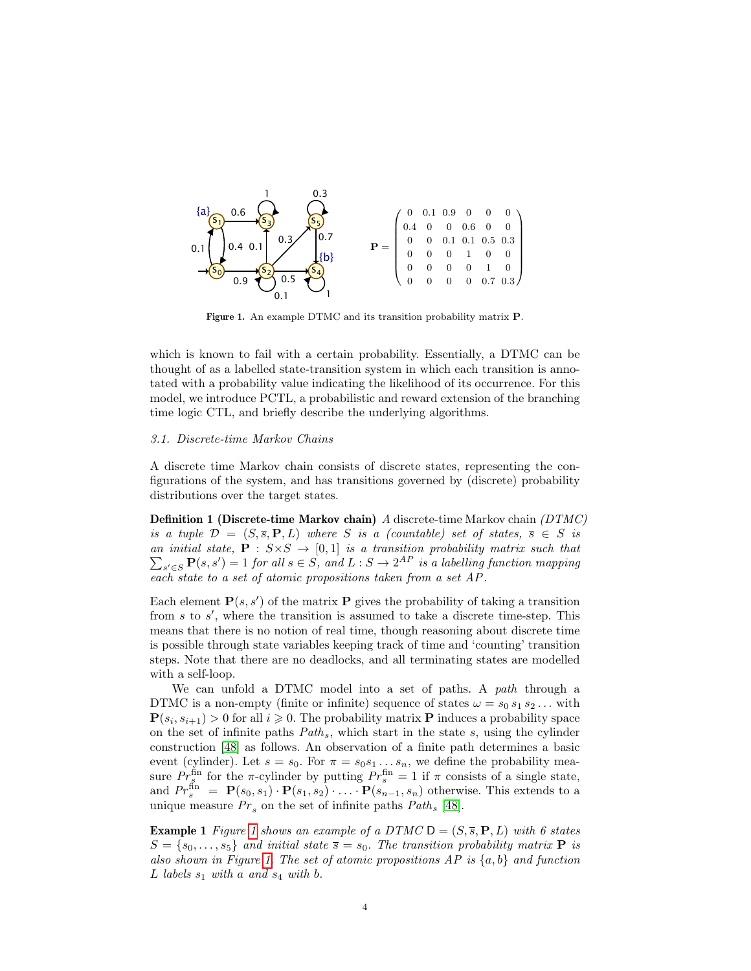

<span id="page-3-0"></span>Figure 1. An example DTMC and its transition probability matrix P.

which is known to fail with a certain probability. Essentially, a DTMC can be thought of as a labelled state-transition system in which each transition is annotated with a probability value indicating the likelihood of its occurrence. For this model, we introduce PCTL, a probabilistic and reward extension of the branching time logic CTL, and briefly describe the underlying algorithms.

#### 3.1. Discrete-time Markov Chains

A discrete time Markov chain consists of discrete states, representing the configurations of the system, and has transitions governed by (discrete) probability distributions over the target states.

Definition 1 (Discrete-time Markov chain) A discrete-time Markov chain (DTMC) is a tuple  $\mathcal{D} = (S, \overline{s}, P, L)$  where S is a (countable) set of states,  $\overline{s} \in S$  is an initial state,  $\mathbf{P} : S \times S \rightarrow [0,1]$  is a transition probability matrix such that  $\sum_{s' \in S} \mathbf{P}(s, s') = 1$  for all  $s \in S$ , and  $L : S \to 2^{AP}$  is a labelling function mapping each state to a set of atomic propositions taken from a set AP .

Each element  $\mathbf{P}(s, s')$  of the matrix **P** gives the probability of taking a transition from  $s$  to  $s'$ , where the transition is assumed to take a discrete time-step. This means that there is no notion of real time, though reasoning about discrete time is possible through state variables keeping track of time and 'counting' transition steps. Note that there are no deadlocks, and all terminating states are modelled with a self-loop.

We can unfold a DTMC model into a set of paths. A path through a DTMC is a non-empty (finite or infinite) sequence of states  $\omega = s_0 s_1 s_2 \dots$  with  $\mathbf{P}(s_i, s_{i+1}) > 0$  for all  $i \geqslant 0$ . The probability matrix **P** induces a probability space on the set of infinite paths  $Path_s$ , which start in the state s, using the cylinder construction [\[48\]](#page-24-4) as follows. An observation of a finite path determines a basic event (cylinder). Let  $s = s_0$ . For  $\pi = s_0 s_1 \dots s_n$ , we define the probability measure  $Pr_s^{\text{fin}}$  for the  $\pi$ -cylinder by putting  $Pr_s^{\text{fin}} = 1$  if  $\pi$  consists of a single state, and  $Pr_s^{\text{fin}} = \mathbf{P}(s_0, s_1) \cdot \mathbf{P}(s_1, s_2) \cdot \ldots \cdot \mathbf{P}(s_{n-1}, s_n)$  otherwise. This extends to a unique measure  $Pr_s$  on the set of infinite paths  $Path_s$  [\[48\]](#page-24-4).

<span id="page-3-1"></span>**Example [1](#page-3-0)** Figure 1 shows an example of a DTMC  $D = (S, \overline{s}, P, L)$  with 6 states  $S = \{s_0, \ldots, s_5\}$  and initial state  $\overline{s} = s_0$ . The transition probability matrix **P** is also shown in Figure [1.](#page-3-0) The set of atomic propositions  $AP$  is  $\{a, b\}$  and function L labels  $s_1$  with a and  $s_4$  with b.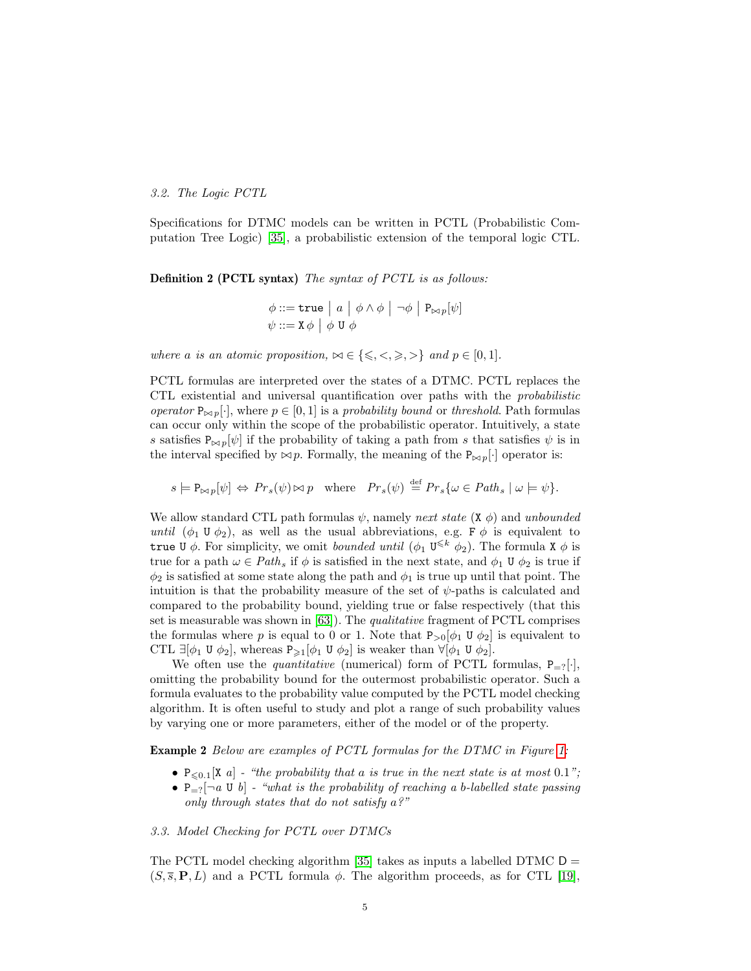#### 3.2. The Logic PCTL

Specifications for DTMC models can be written in PCTL (Probabilistic Computation Tree Logic) [\[35\]](#page-24-1), a probabilistic extension of the temporal logic CTL.

Definition 2 (PCTL syntax) The syntax of PCTL is as follows:

$$
\phi ::= \texttt{true} \mid a \mid \phi \land \phi \mid \neg \phi \mid P_{\bowtie p}[\psi]
$$
  

$$
\psi ::= X \phi \mid \phi \cup \phi
$$

where a is an atomic proposition,  $\bowtie \in \{\leq, <, \geq, >\}$  and  $p \in [0, 1].$ 

PCTL formulas are interpreted over the states of a DTMC. PCTL replaces the CTL existential and universal quantification over paths with the probabilistic operator  $P_{\bowtie p}[\cdot]$ , where  $p \in [0, 1]$  is a probability bound or threshold. Path formulas can occur only within the scope of the probabilistic operator. Intuitively, a state s satisfies  $P_{\bowtie p}[\psi]$  if the probability of taking a path from s that satisfies  $\psi$  is in the interval specified by  $\bowtie p$ . Formally, the meaning of the  $P_{\bowtie p}[\cdot]$  operator is:

 $s \models \mathbb{P}_{\bowtie p}[\psi] \Leftrightarrow Pr_s(\psi) \bowtie p$  where  $Pr_s(\psi) \stackrel{\text{def}}{=} Pr_s\{\omega \in Path_s \mid \omega \models \psi\}.$ 

We allow standard CTL path formulas  $\psi$ , namely next state (X  $\phi$ ) and unbounded until  $(\phi_1 \mathbf{U} \phi_2)$ , as well as the usual abbreviations, e.g. F  $\phi$  is equivalent to true U  $\phi$ . For simplicity, we omit *bounded until*  $(\phi_1 \cup \{k \to \phi_2\})$ . The formula X  $\phi$  is true for a path  $\omega \in Path_s$  if  $\phi$  is satisfied in the next state, and  $\phi_1 \cup \phi_2$  is true if  $\phi_2$  is satisfied at some state along the path and  $\phi_1$  is true up until that point. The intuition is that the probability measure of the set of  $\psi$ -paths is calculated and compared to the probability bound, yielding true or false respectively (that this set is measurable was shown in  $[63]$ . The *qualitative* fragment of PCTL comprises the formulas where p is equal to 0 or 1. Note that  $P_{>0}[\phi_1 \mathbf{U} \phi_2]$  is equivalent to CTL  $\exists [\phi_1 \cup \phi_2],$  whereas  $P_{\geq 1}[\phi_1 \cup \phi_2]$  is weaker than  $\forall [\phi_1 \cup \phi_2].$ 

We often use the *quantitative* (numerical) form of PCTL formulas,  $P_{=?}[\cdot]$ , omitting the probability bound for the outermost probabilistic operator. Such a formula evaluates to the probability value computed by the PCTL model checking algorithm. It is often useful to study and plot a range of such probability values by varying one or more parameters, either of the model or of the property.

**Example 2** Below are examples of PCTL formulas for the DTMC in Figure [1:](#page-3-0)

- $P_{\leq 0.1}[X \ a]$  "the probability that a is true in the next state is at most 0.1";
- $P_{=?}$  $\neg a \cup b$  "what is the probability of reaching a b-labelled state passing only through states that do not satisfy  $a$ ?"

#### 3.3. Model Checking for PCTL over DTMCs

The PCTL model checking algorithm [\[35\]](#page-24-1) takes as inputs a labelled DTMC  $D =$  $(S, \overline{s}, P, L)$  and a PCTL formula  $\phi$ . The algorithm proceeds, as for CTL [\[19\]](#page-23-3),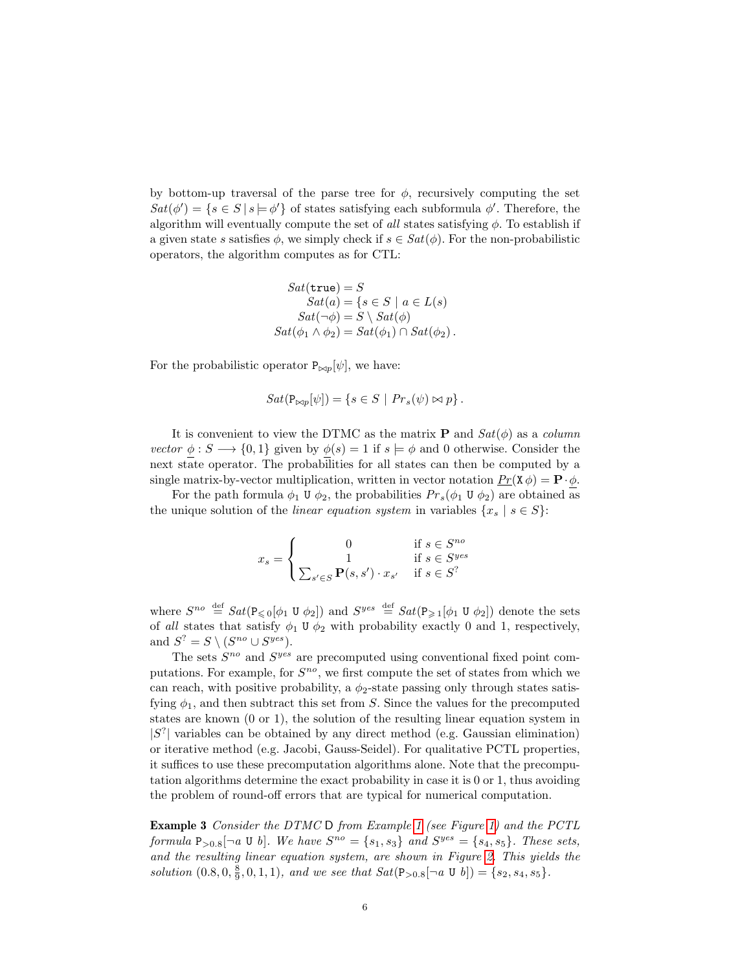by bottom-up traversal of the parse tree for  $\phi$ , recursively computing the set  $Sat(\phi') = \{s \in S \mid s \models \phi'\}\$ of states satisfying each subformula  $\phi'$ . Therefore, the algorithm will eventually compute the set of all states satisfying  $\phi$ . To establish if a given state s satisfies  $\phi$ , we simply check if  $s \in Sat(\phi)$ . For the non-probabilistic operators, the algorithm computes as for CTL:

$$
Sat(\mathtt{true}) = S
$$
  
\n
$$
Sat(a) = \{s \in S \mid a \in L(s)
$$
  
\n
$$
Sat(\neg \phi) = S \setminus Sat(\phi)
$$
  
\n
$$
Sat(\phi_1 \land \phi_2) = Sat(\phi_1) \cap Sat(\phi_2).
$$

For the probabilistic operator  $P_{\bowtie p}[\psi]$ , we have:

$$
Sat(\mathbf{P}_{\bowtie p}[\psi]) = \{ s \in S \mid Pr_s(\psi) \bowtie p \}
$$

It is convenient to view the DTMC as the matrix **P** and  $Sat(\phi)$  as a *column* vector  $\phi : S \longrightarrow \{0,1\}$  given by  $\phi(s) = 1$  if  $s \models \phi$  and 0 otherwise. Consider the next state operator. The probabilities for all states can then be computed by a single matrix-by-vector multiplication, written in vector notation  $P_T(\mathbf{X}\phi) = \mathbf{P} \cdot \phi$ .

For the path formula  $\phi_1 \mathbf{U} \phi_2$ , the probabilities  $Pr_s(\phi_1 \mathbf{U} \phi_2)$  are obtained as the unique solution of the *linear equation system* in variables  $\{x_s \mid s \in S\}$ :

$$
x_s = \begin{cases} 0 & \text{if } s \in S^{no} \\ 1 & \text{if } s \in S^{yes} \\ \sum_{s' \in S} \mathbf{P}(s, s') \cdot x_{s'} & \text{if } s \in S^? \end{cases}
$$

where  $S^{no} \stackrel{\text{def}}{=} Sat(\overline{P_{\leq 0}[\phi_1 \cup \phi_2])}$  and  $S^{yes} \stackrel{\text{def}}{=} Sat(\overline{P_{\geq 1}[\phi_1 \cup \phi_2])}$  denote the sets of all states that satisfy  $\phi_1 \mathbf{U} \phi_2$  with probability exactly 0 and 1, respectively, and  $S^? = S \setminus (S^{no} \cup S^{yes}).$ 

The sets  $S^{no}$  and  $S^{yes}$  are precomputed using conventional fixed point computations. For example, for  $S^{no}$ , we first compute the set of states from which we can reach, with positive probability, a  $\phi_2$ -state passing only through states satisfying  $\phi_1$ , and then subtract this set from S. Since the values for the precomputed states are known (0 or 1), the solution of the resulting linear equation system in  $|S^?|$  variables can be obtained by any direct method (e.g. Gaussian elimination) or iterative method (e.g. Jacobi, Gauss-Seidel). For qualitative PCTL properties, it suffices to use these precomputation algorithms alone. Note that the precomputation algorithms determine the exact probability in case it is 0 or 1, thus avoiding the problem of round-off errors that are typical for numerical computation.

Example 3 Consider the DTMC D from Example [1](#page-3-1) (see Figure [1\)](#page-3-0) and the PCTL formula  $P_{>0.8}[\neg a \cup b]$ . We have  $S^{no} = \{s_1, s_3\}$  and  $S^{yes} = \{s_4, s_5\}$ . These sets, and the resulting linear equation system, are shown in Figure [2.](#page-6-0) This yields the solution  $(0.8, 0, \frac{8}{9}, 0, 1, 1)$ , and we see that  $Sat(\mathbb{P}_{>0.8}[\neg a \cup b]) = \{s_2, s_4, s_5\}.$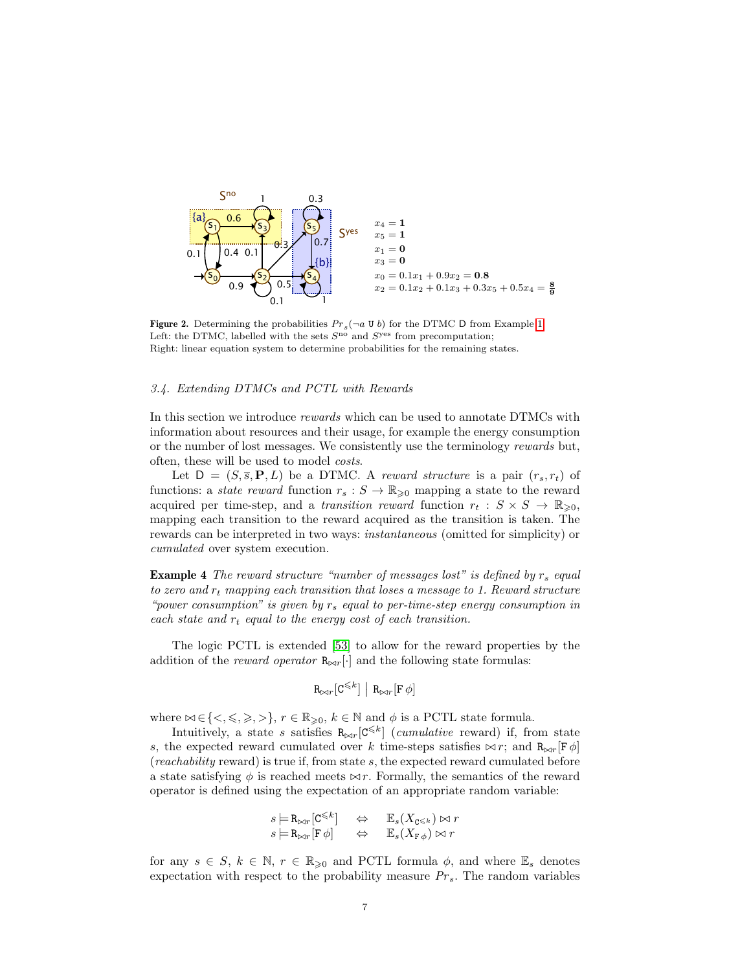

<span id="page-6-0"></span>**Figure 2.** Determining the probabilities  $Pr_s(\neg a \cup b)$  for the DTMC D from Example [1.](#page-3-1) Left: the DTMC, labelled with the sets  $S<sup>no</sup>$  and  $S<sup>yes</sup>$  from precomputation; Right: linear equation system to determine probabilities for the remaining states.

#### 3.4. Extending DTMCs and PCTL with Rewards

In this section we introduce *rewards* which can be used to annotate DTMCs with information about resources and their usage, for example the energy consumption or the number of lost messages. We consistently use the terminology rewards but, often, these will be used to model costs.

Let  $D = (S, \overline{s}, P, L)$  be a DTMC. A reward structure is a pair  $(r_s, r_t)$  of functions: a *state reward* function  $r_s : S \to \mathbb{R}_{\geqslant 0}$  mapping a state to the reward acquired per time-step, and a transition reward function  $r_t : S \times S \to \mathbb{R}_{\geq 0}$ , mapping each transition to the reward acquired as the transition is taken. The rewards can be interpreted in two ways: instantaneous (omitted for simplicity) or cumulated over system execution.

**Example 4** The reward structure "number of messages lost" is defined by  $r_s$  equal to zero and  $r_t$  mapping each transition that loses a message to 1. Reward structure "power consumption" is given by  $r_s$  equal to per-time-step energy consumption in each state and  $r_t$  equal to the energy cost of each transition.

The logic PCTL is extended [\[53\]](#page-25-4) to allow for the reward properties by the addition of the reward operator  $\mathbb{R}_{\bowtie r}[\cdot]$  and the following state formulas:

$$
\mathbf{R}_{\bowtie r}\big[\mathbf{C}^{\leqslant k}\big]~\big|~\mathbf{R}_{\bowtie r}\big[\mathbf{F}\,\phi\big]
$$

where  $\bowtie \in \{<,\leqslant,\geqslant,>\}$ ,  $r\in \mathbb{R}_{\geqslant 0},$   $k\in \mathbb{N}$  and  $\phi$  is a PCTL state formula.

Intuitively, a state s satisfies  $R_{\bowtie r}$  [C<sup> $\leq k$ </sup>] (*cumulative* reward) if, from state s, the expected reward cumulated over k time-steps satisfies  $\bowtie r$ ; and  $R_{\bowtie r}[F \phi]$ (reachability reward) is true if, from state s, the expected reward cumulated before a state satisfying  $\phi$  is reached meets  $\bowtie r$ . Formally, the semantics of the reward operator is defined using the expectation of an appropriate random variable:

$$
s = R_{\bowtie r} [C^{\leq k}] \quad \Leftrightarrow \quad \mathbb{E}_s(X_{C^{\leq k}}) \bowtie r
$$
  

$$
s = R_{\bowtie r} [F \phi] \quad \Leftrightarrow \quad \mathbb{E}_s(X_{F \phi}) \bowtie r
$$

for any  $s \in S$ ,  $k \in \mathbb{N}$ ,  $r \in \mathbb{R}_{\geqslant 0}$  and PCTL formula  $\phi$ , and where  $\mathbb{E}_s$  denotes expectation with respect to the probability measure  $Pr_s$ . The random variables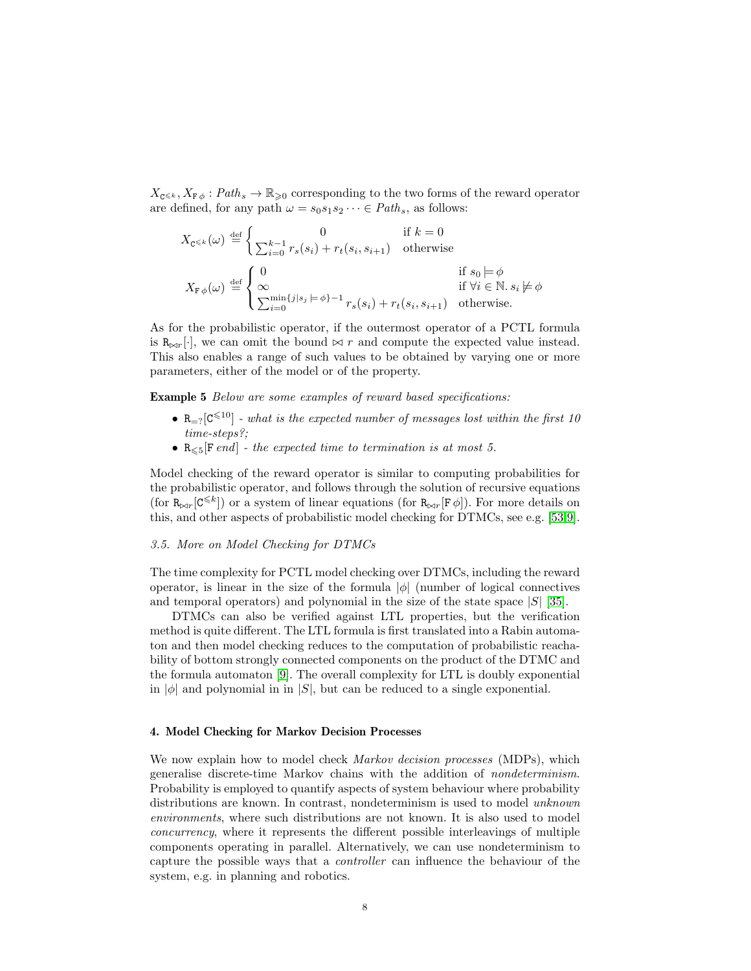$X_{\mathbf{C}} \leq k$ ,  $X_{\mathbf{F}\phi}: Path_s \to \mathbb{R}_{\geq 0}$  corresponding to the two forms of the reward operator are defined, for any path  $\omega = s_0 s_1 s_2 \cdots \in Path_s$ , as follows:

$$
X_{\mathbb{C}^{\leq k}}(\omega) \stackrel{\text{def}}{=} \begin{cases} 0 & \text{if } k = 0\\ \sum_{i=0}^{k-1} r_s(s_i) + r_t(s_i, s_{i+1}) & \text{otherwise} \end{cases}
$$
  

$$
X_{\mathbb{F}\phi}(\omega) \stackrel{\text{def}}{=} \begin{cases} 0 & \text{if } s_0 \models \phi\\ \infty & \text{if } \forall i \in \mathbb{N}. s_i \not\models \phi\\ \sum_{i=0}^{\min\{j|s_j} \models \phi\} - 1 \ r_s(s_i) + r_t(s_i, s_{i+1}) & \text{otherwise.} \end{cases}
$$

As for the probabilistic operator, if the outermost operator of a PCTL formula is  $R_{\bowtie r}[\cdot]$ , we can omit the bound  $\bowtie r$  and compute the expected value instead. This also enables a range of such values to be obtained by varying one or more parameters, either of the model or of the property.

**Example 5** Below are some examples of reward based specifications:

- $R_{r=2}[C^{\leq 10}]$  what is the expected number of messages lost within the first 10 time-steps?;
- $R_{\leq 5}$ [F end] the expected time to termination is at most 5.

Model checking of the reward operator is similar to computing probabilities for the probabilistic operator, and follows through the solution of recursive equations (for  $R_{\bowtie r}$ [ $C^{\leq k}$ ]) or a system of linear equations (for  $R_{\bowtie r}$ [ $F \phi$ ]). For more details on this, and other aspects of probabilistic model checking for DTMCs, see e.g. [\[53,](#page-25-4)[9\]](#page-22-3).

#### 3.5. More on Model Checking for DTMCs

The time complexity for PCTL model checking over DTMCs, including the reward operator, is linear in the size of the formula  $|\phi|$  (number of logical connectives and temporal operators) and polynomial in the size of the state space  $|S|$  [\[35\]](#page-24-1).

DTMCs can also be verified against LTL properties, but the verification method is quite different. The LTL formula is first translated into a Rabin automaton and then model checking reduces to the computation of probabilistic reachability of bottom strongly connected components on the product of the DTMC and the formula automaton [\[9\]](#page-22-3). The overall complexity for LTL is doubly exponential in  $|\phi|$  and polynomial in in  $|S|$ , but can be reduced to a single exponential.

#### 4. Model Checking for Markov Decision Processes

We now explain how to model check *Markov decision processes* (MDPs), which generalise discrete-time Markov chains with the addition of nondeterminism. Probability is employed to quantify aspects of system behaviour where probability distributions are known. In contrast, nondeterminism is used to model *unknown* environments, where such distributions are not known. It is also used to model concurrency, where it represents the different possible interleavings of multiple components operating in parallel. Alternatively, we can use nondeterminism to capture the possible ways that a controller can influence the behaviour of the system, e.g. in planning and robotics.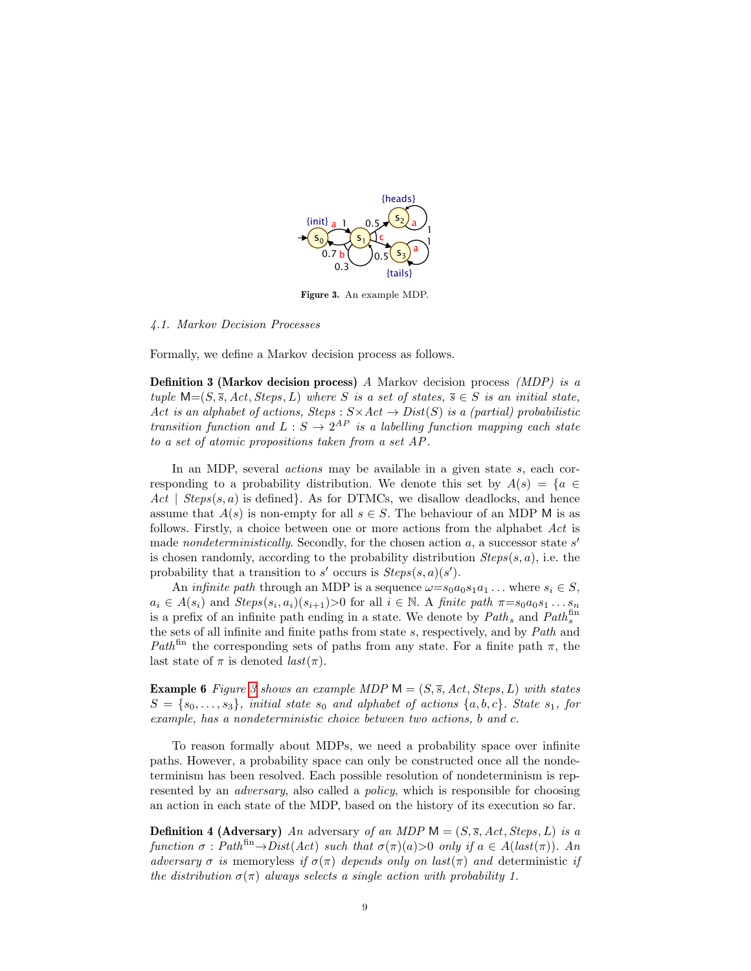

<span id="page-8-0"></span>Figure 3. An example MDP.

## 4.1. Markov Decision Processes

Formally, we define a Markov decision process as follows.

**Definition 3 (Markov decision process)** A Markov decision process (MDP) is a tuple  $M=(S, \overline{s}, Act, Steps, L)$  where S is a set of states,  $\overline{s} \in S$  is an initial state, Act is an alphabet of actions, Steps :  $S \times Act \rightarrow Dist(S)$  is a (partial) probabilistic transition function and  $L : S \to 2^{AP}$  is a labelling function mapping each state to a set of atomic propositions taken from a set AP .

In an MDP, several *actions* may be available in a given state s, each corresponding to a probability distribution. We denote this set by  $A(s) = \{a \in$  $Act \mid Steps(s, a)$  is defined. As for DTMCs, we disallow deadlocks, and hence assume that  $A(s)$  is non-empty for all  $s \in S$ . The behaviour of an MDP M is as follows. Firstly, a choice between one or more actions from the alphabet Act is made *nondeterministically*. Secondly, for the chosen action  $a$ , a successor state  $s'$ is chosen randomly, according to the probability distribution  $Steps(s, a)$ , i.e. the probability that a transition to s' occurs is  $Steps(s, a)(s')$ .

An *infinite path* through an MDP is a sequence  $\omega = s_0 a_0 s_1 a_1 \dots$  where  $s_i \in S$ ,  $a_i \in A(s_i)$  and  $Steps(s_i, a_i)(s_{i+1}) > 0$  for all  $i \in \mathbb{N}$ . A finite path  $\pi = s_0 a_0 s_1 \dots s_n$ is a prefix of an infinite path ending in a state. We denote by  $Path_s$  and  $Path_s^{\text{fin}}$ the sets of all infinite and finite paths from state s, respectively, and by Path and Path<sup>fin</sup> the corresponding sets of paths from any state. For a finite path  $\pi$ , the last state of  $\pi$  is denoted  $last(\pi)$ .

<span id="page-8-1"></span>**Example 6** Figure [3](#page-8-0) shows an example MDP  $M = (S, \overline{s}, Act, Steps, L)$  with states  $S = \{s_0, \ldots, s_3\}$ , initial state  $s_0$  and alphabet of actions  $\{a, b, c\}$ . State  $s_1$ , for example, has a nondeterministic choice between two actions, b and c.

To reason formally about MDPs, we need a probability space over infinite paths. However, a probability space can only be constructed once all the nondeterminism has been resolved. Each possible resolution of nondeterminism is represented by an *adversary*, also called a *policy*, which is responsible for choosing an action in each state of the MDP, based on the history of its execution so far.

**Definition 4 (Adversary)** An adversary of an MDP  $M = (S, \overline{s}, Act, Steps, L)$  is a function  $\sigma$ : Path<sup>fin</sup> $\rightarrow$ Dist(Act) such that  $\sigma(\pi)(a)$ >0 only if  $a \in A(\text{last}(\pi))$ . An adversary  $\sigma$  is memoryless if  $\sigma(\pi)$  depends only on last( $\pi$ ) and deterministic if the distribution  $\sigma(\pi)$  always selects a single action with probability 1.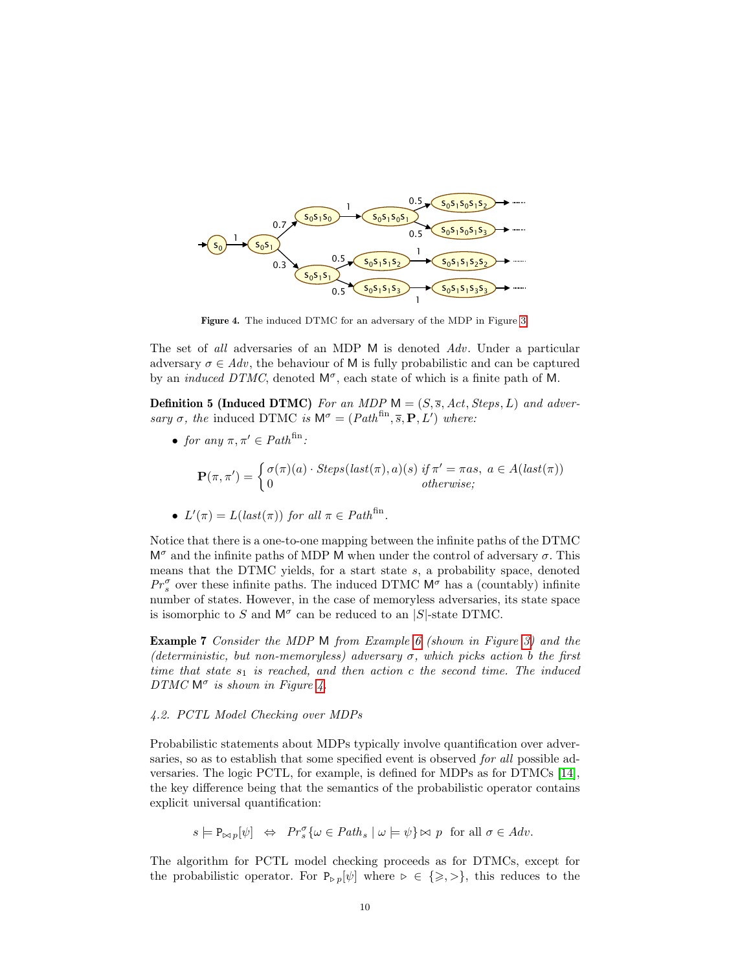

<span id="page-9-0"></span>Figure 4. The induced DTMC for an adversary of the MDP in Figure [3.](#page-8-0)

The set of all adversaries of an MDP M is denoted Adv. Under a particular adversary  $\sigma \in Adv$ , the behaviour of M is fully probabilistic and can be captured by an *induced DTMC*, denoted  $M^{\sigma}$ , each state of which is a finite path of M.

**Definition 5 (Induced DTMC)** For an MDP  $M = (S, \overline{s}, Act, Steps, L)$  and adversary  $\sigma$ , the induced DTMC is  $\mathsf{M}^{\sigma} = (Path^{\text{fin}}, \overline{s}, \mathbf{P}, L')$  where:

• for any  $\pi, \pi' \in Path^{\text{fin}}$ :

$$
\mathbf{P}(\pi,\pi') = \begin{cases} \sigma(\pi)(a) \cdot \operatorname{Steps}(last(\pi),a)(s) & \text{if } \pi' = \pi as, \ a \in A(\operatorname{last}(\pi)) \\ 0 & \text{otherwise}; \end{cases}
$$

•  $L'(\pi) = L(last(\pi))$  for all  $\pi \in Path^{\text{fin}}$ .

Notice that there is a one-to-one mapping between the infinite paths of the DTMC  $M^{\sigma}$  and the infinite paths of MDP M when under the control of adversary  $\sigma$ . This means that the DTMC yields, for a start state  $s$ , a probability space, denoted  $Pr_s^{\sigma}$  over these infinite paths. The induced DTMC  $M^{\sigma}$  has a (countably) infinite number of states. However, in the case of memoryless adversaries, its state space is isomorphic to S and  $M^{\sigma}$  can be reduced to an |S|-state DTMC.

Example 7 Consider the MDP M from Example [6](#page-8-1) (shown in Figure [3\)](#page-8-0) and the (deterministic, but non-memoryless) adversary  $\sigma$ , which picks action b the first time that state  $s_1$  is reached, and then action c the second time. The induced  $DTMC \, \mathsf{M}^{\sigma}$  is shown in Figure [4.](#page-9-0)

#### <span id="page-9-1"></span>4.2. PCTL Model Checking over MDPs

Probabilistic statements about MDPs typically involve quantification over adversaries, so as to establish that some specified event is observed for all possible adversaries. The logic PCTL, for example, is defined for MDPs as for DTMCs [\[14\]](#page-23-1), the key difference being that the semantics of the probabilistic operator contains explicit universal quantification:

 $s \models \mathbb{P}_{\bowtie p}[\psi] \Leftrightarrow \Pr_s^{\sigma} {\omega \in \mathit{Path}_s \mid \omega \models \psi} \bowtie p \text{ for all } \sigma \in \mathit{Adv}.$ 

The algorithm for PCTL model checking proceeds as for DTMCs, except for the probabilistic operator. For  $P_{\triangleright p}[\psi]$  where  $\triangleright \in \{\geq, >\}$ , this reduces to the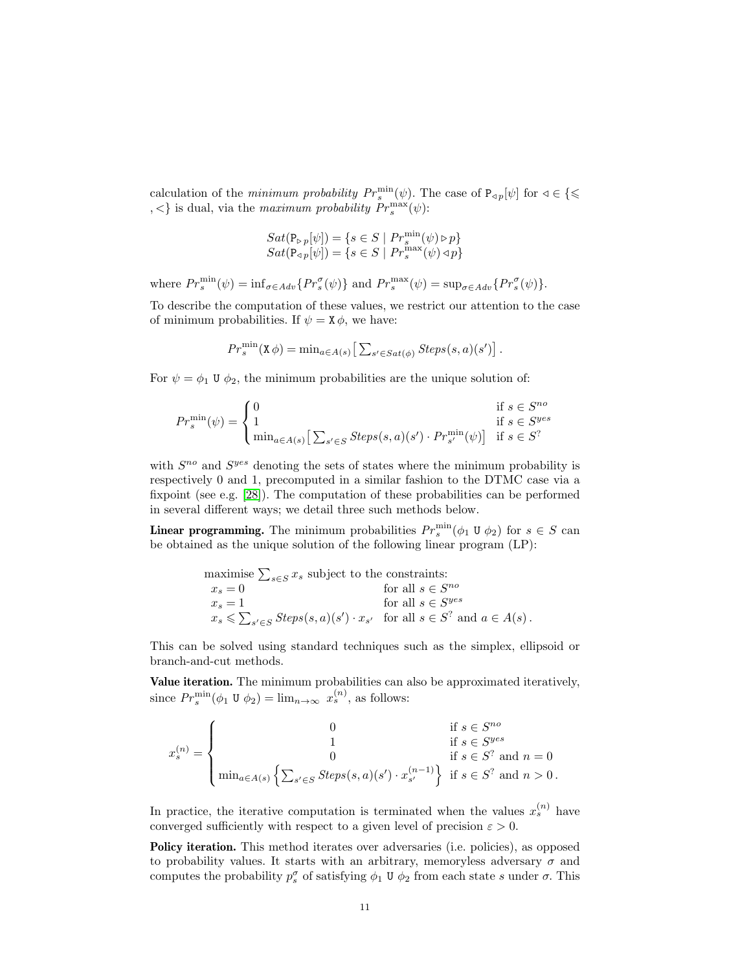calculation of the *minimum probability*  $Pr_s^{\min}(\psi)$ . The case of  $P_{\varphi}[\psi]$  for  $\varphi \in \{\leq \varphi\}$  $\{ \langle \cdot \rangle \}$  is dual, via the maximum probability  $Pr_s^{\max}(\psi)$ :

$$
\begin{array}{l} Sat(\mathtt{P}_{\triangleright\, p}[\psi])=\{s\in S\mid Pr^{\min}_s(\psi)\triangleright p\}\\ Sat(\mathtt{P}_{\triangleleft\, p}[\psi])=\{s\in S\mid Pr^{\max}_s(\psi)\triangleleft p\}\end{array}
$$

where  $Pr_s^{\min}(\psi) = \inf_{\sigma \in Adv} \{Pr_s^{\sigma}(\psi)\}\$ and  $Pr_s^{\max}(\psi) = \sup_{\sigma \in Adv} \{Pr_s^{\sigma}(\psi)\}.$ 

To describe the computation of these values, we restrict our attention to the case of minimum probabilities. If  $\psi = \mathbf{X} \phi$ , we have:

$$
Pr_s^{\min}(\mathbf{X}\,\phi) = \min_{a \in A(s)} \left[ \sum_{s' \in Sat(\phi)} Steps(s, a)(s') \right].
$$

For  $\psi = \phi_1$  U  $\phi_2$ , the minimum probabilities are the unique solution of:

$$
Pr_s^{\min}(\psi) = \begin{cases} 0 & \text{if } s \in S^{no} \\ 1 & \text{if } s \in S^{yes} \\ \min_{a \in A(s)} \left[ \sum_{s' \in S} Steps(s, a)(s') \cdot Pr_{s'}^{\min}(\psi) \right] & \text{if } s \in S^? \end{cases}
$$

with  $S^{no}$  and  $S^{yes}$  denoting the sets of states where the minimum probability is respectively 0 and 1, precomputed in a similar fashion to the DTMC case via a fixpoint (see e.g. [\[28\]](#page-23-4)). The computation of these probabilities can be performed in several different ways; we detail three such methods below.

**Linear programming.** The minimum probabilities  $Pr_s^{\min}(\phi_1 \cup \phi_2)$  for  $s \in S$  can be obtained as the unique solution of the following linear program (LP):

$$
\begin{array}{ll}\text{maximize } \sum_{s \in S} x_s \text{ subject to the constraints:} \\ x_s = 0 & \text{for all } s \in S^{no} \\ x_s = 1 & \text{for all } s \in S^{yes} \\ x_s \leqslant \sum_{s' \in S} \text{Steps}(s, a)(s') \cdot x_{s'} & \text{for all } s \in S^? \text{ and } a \in A(s) \, .\end{array}
$$

This can be solved using standard techniques such as the simplex, ellipsoid or branch-and-cut methods.

Value iteration. The minimum probabilities can also be approximated iteratively, since  $Pr_s^{\min}(\phi_1 \cup \phi_2) = \lim_{n \to \infty} x_s^{(n)}$ , as follows:

$$
x_s^{(n)} = \begin{cases} 0 & \text{if } s \in S^{no} \\ 1 & \text{if } s \in S^{yes} \\ 0 & \text{if } s \in S^? \text{ and } n = 0 \\ \min_{a \in A(s)} \left\{ \sum_{s' \in S} \text{Steps}(s, a)(s') \cdot x_{s'}^{(n-1)} \right\} & \text{if } s \in S^? \text{ and } n > 0. \end{cases}
$$

In practice, the iterative computation is terminated when the values  $x_s^{(n)}$  have converged sufficiently with respect to a given level of precision  $\varepsilon > 0$ .

**Policy iteration.** This method iterates over adversaries (i.e. policies), as opposed to probability values. It starts with an arbitrary, memoryless adversary  $\sigma$  and computes the probability  $p_s^{\sigma}$  of satisfying  $\phi_1 \mathbf{U} \phi_2$  from each state s under  $\sigma$ . This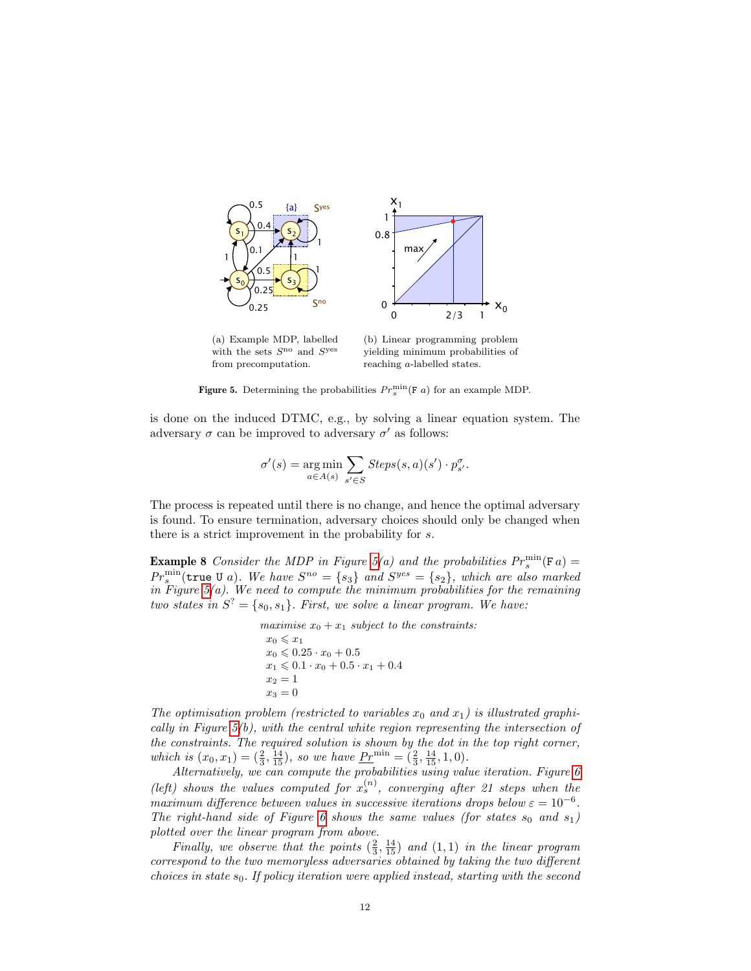

(a) Example MDP, labelled with the sets  $S^{\text{no}}$  and  $S^{\text{yes}}$ from precomputation.

(b) Linear programming problem yielding minimum probabilities of reaching a-labelled states.

<span id="page-11-0"></span>**Figure 5.** Determining the probabilities  $Pr_s^{\min}(\mathbf{F} | a)$  for an example MDP.

is done on the induced DTMC, e.g., by solving a linear equation system. The adversary  $\sigma$  can be improved to adversary  $\sigma'$  as follows:

$$
\sigma'(s) = \underset{a \in A(s)}{\arg \min} \sum_{s' \in S} \mathit{Steps}(s, a)(s') \cdot p_{s'}^{\sigma}.
$$

The process is repeated until there is no change, and hence the optimal adversary is found. To ensure termination, adversary choices should only be changed when there is a strict improvement in the probability for s.

**Example 8** Consider the MDP in Figure [5\(](#page-11-0)a) and the probabilities  $Pr_s^{\min}(\mathbf{F}\,a)$  =  $Pr_s^{\min}(\texttt{true } U \ a)$ . We have  $S^{no} = \{s_3\}$  and  $S^{yes} = \{s_2\}$ , which are also marked in Figure  $5(a)$ . We need to compute the minimum probabilities for the remaining two states in  $S^? = \{s_0, s_1\}$ . First, we solve a linear program. We have:

```
maximise x_0 + x_1 subject to the constraints:
x_0 \leqslant x_1x_0 \leqslant 0.25 \cdot x_0 + 0.5x_1 \leqslant 0.1 \cdot x_0 + 0.5 \cdot x_1 + 0.4x_2 = 1x_3 = 0
```
The optimisation problem (restricted to variables  $x_0$  and  $x_1$ ) is illustrated graphically in Figure  $5(b)$ , with the central white region representing the intersection of the constraints. The required solution is shown by the dot in the top right corner, which is  $(x_0, x_1) = (\frac{2}{3}, \frac{14}{15})$ , so we have  $Pr^{\min} = (\frac{2}{3}, \frac{14}{15}, 1, 0)$ .

Alternatively, we can compute the probabilities using value iteration. Figure [6](#page-12-0) (left) shows the values computed for  $x_s^{(n)}$ , converging after 21 steps when the maximum difference between values in successive iterations drops below  $\varepsilon = 10^{-6}$ . The right-hand side of Figure [6](#page-12-0) shows the same values (for states  $s_0$  and  $s_1$ ) plotted over the linear program from above.

Finally, we observe that the points  $(\frac{2}{3}, \frac{14}{15})$  and  $(1,1)$  in the linear program correspond to the two memoryless adversaries obtained by taking the two different choices in state  $s_0$ . If policy iteration were applied instead, starting with the second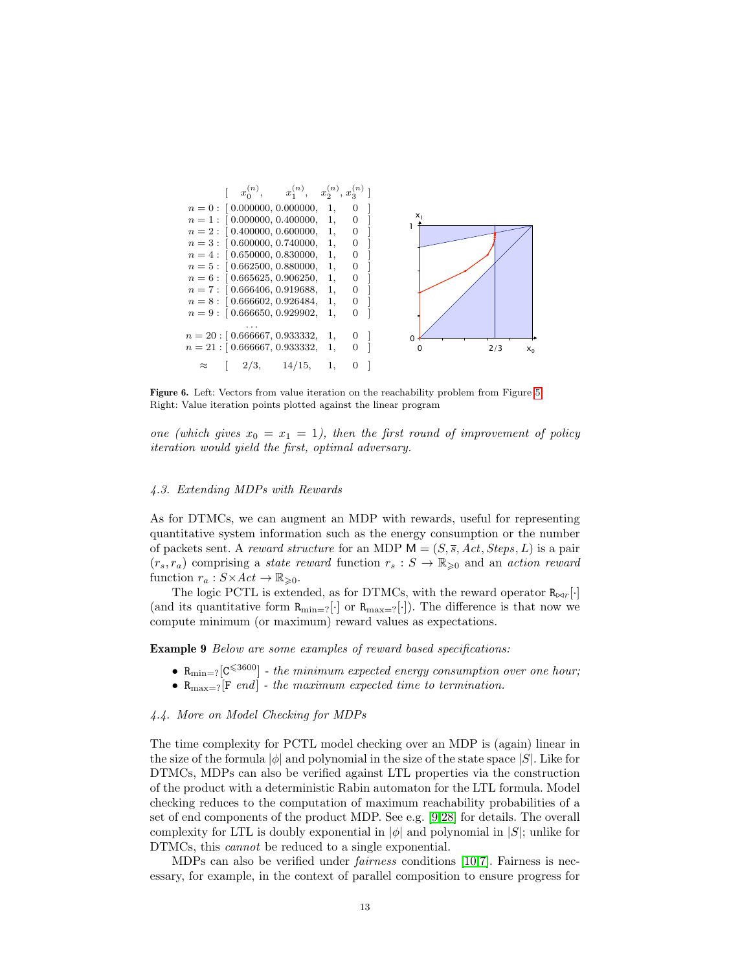

<span id="page-12-0"></span>Figure 6. Left: Vectors from value iteration on the reachability problem from Figure [5;](#page-11-0) Right: Value iteration points plotted against the linear program

one (which gives  $x_0 = x_1 = 1$ ), then the first round of improvement of policy iteration would yield the first, optimal adversary.

#### 4.3. Extending MDPs with Rewards

As for DTMCs, we can augment an MDP with rewards, useful for representing quantitative system information such as the energy consumption or the number of packets sent. A reward structure for an MDP  $M = (S, \overline{s}, Act, Steps, L)$  is a pair  $(r_s, r_a)$  comprising a state reward function  $r_s : S \to \mathbb{R}_{\geqslant 0}$  and an action reward function  $r_a: S \times Act \to \mathbb{R}_{\geqslant 0}$ .

The logic PCTL is extended, as for DTMCs, with the reward operator  $R_{\bowtie r}[\cdot]$ (and its quantitative form  $R_{\text{min}=?}[\cdot]$  or  $R_{\text{max}=?}[\cdot]$ ). The difference is that now we compute minimum (or maximum) reward values as expectations.

**Example 9** Below are some examples of reward based specifications:

- $R_{\text{min}=?}[C^{\leqslant 3600}]$  the minimum expected energy consumption over one hour;
- $R_{\text{max}=?}[F \text{ end}]$  the maximum expected time to termination.

#### 4.4. More on Model Checking for MDPs

The time complexity for PCTL model checking over an MDP is (again) linear in the size of the formula  $|\phi|$  and polynomial in the size of the state space  $|S|$ . Like for DTMCs, MDPs can also be verified against LTL properties via the construction of the product with a deterministic Rabin automaton for the LTL formula. Model checking reduces to the computation of maximum reachability probabilities of a set of end components of the product MDP. See e.g. [\[9,](#page-22-3)[28\]](#page-23-4) for details. The overall complexity for LTL is doubly exponential in  $|\phi|$  and polynomial in  $|S|$ ; unlike for DTMCs, this cannot be reduced to a single exponential.

MDPs can also be verified under fairness conditions [\[10](#page-22-4)[,7\]](#page-22-5). Fairness is necessary, for example, in the context of parallel composition to ensure progress for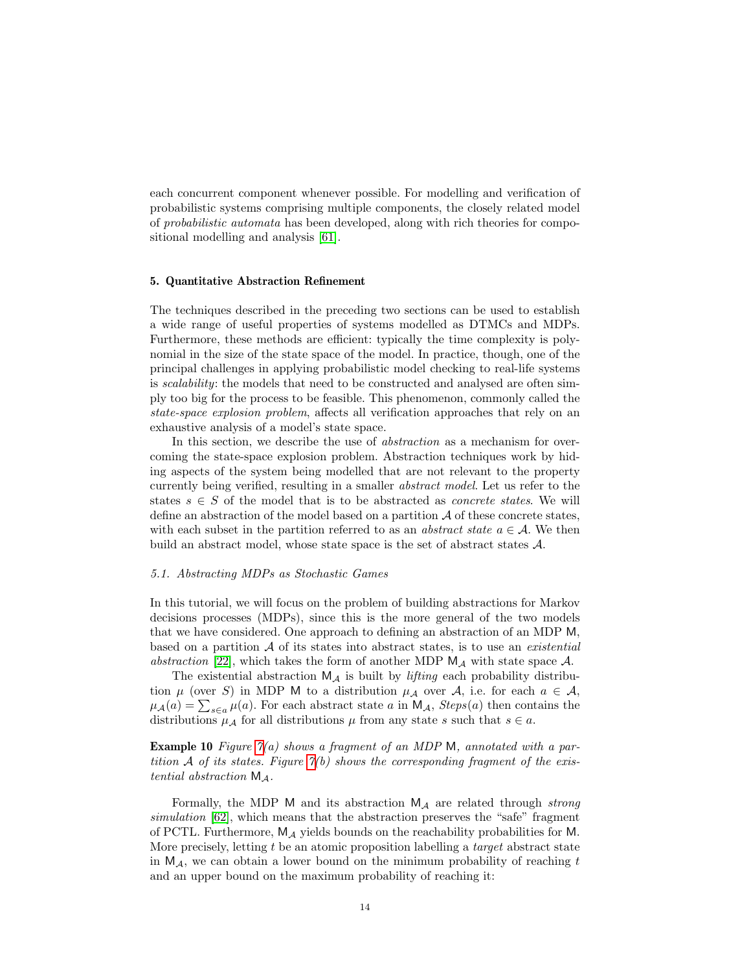each concurrent component whenever possible. For modelling and verification of probabilistic systems comprising multiple components, the closely related model of probabilistic automata has been developed, along with rich theories for compositional modelling and analysis [\[61\]](#page-25-5).

#### <span id="page-13-1"></span>5. Quantitative Abstraction Refinement

The techniques described in the preceding two sections can be used to establish a wide range of useful properties of systems modelled as DTMCs and MDPs. Furthermore, these methods are efficient: typically the time complexity is polynomial in the size of the state space of the model. In practice, though, one of the principal challenges in applying probabilistic model checking to real-life systems is scalability: the models that need to be constructed and analysed are often simply too big for the process to be feasible. This phenomenon, commonly called the state-space explosion problem, affects all verification approaches that rely on an exhaustive analysis of a model's state space.

In this section, we describe the use of *abstraction* as a mechanism for overcoming the state-space explosion problem. Abstraction techniques work by hiding aspects of the system being modelled that are not relevant to the property currently being verified, resulting in a smaller abstract model. Let us refer to the states  $s \in S$  of the model that is to be abstracted as *concrete states*. We will define an abstraction of the model based on a partition  $A$  of these concrete states, with each subset in the partition referred to as an *abstract state*  $a \in \mathcal{A}$ . We then build an abstract model, whose state space is the set of abstract states A.

## <span id="page-13-2"></span>5.1. Abstracting MDPs as Stochastic Games

In this tutorial, we will focus on the problem of building abstractions for Markov decisions processes (MDPs), since this is the more general of the two models that we have considered. One approach to defining an abstraction of an MDP M, based on a partition  $A$  of its states into abstract states, is to use an *existential* abstraction [\[22\]](#page-23-5), which takes the form of another MDP  $M_A$  with state space A.

The existential abstraction  $M_A$  is built by *lifting* each probability distribution  $\mu$  (over S) in MDP M to a distribution  $\mu_{\mathcal{A}}$  over A, i.e. for each  $a \in \mathcal{A}$ ,  $\mu_{\mathcal{A}}(a) = \sum_{s \in a} \mu(a)$ . For each abstract state a in  $\mathsf{M}_{\mathcal{A}}$ ,  $Steps(a)$  then contains the distributions  $\mu_{\mathcal{A}}$  for all distributions  $\mu$  from any state s such that  $s \in a$ .

<span id="page-13-0"></span>**Example 10** Figure  $\gamma(a)$  shows a fragment of an MDP M, annotated with a partition A of its states. Figure  $\gamma(b)$  shows the corresponding fragment of the existential abstraction  $M_A$ .

Formally, the MDP M and its abstraction  $M_A$  are related through strong simulation [\[62\]](#page-25-6), which means that the abstraction preserves the "safe" fragment of PCTL. Furthermore,  $M_A$  yields bounds on the reachability probabilities for M. More precisely, letting  $t$  be an atomic proposition labelling a *target* abstract state in  $M_A$ , we can obtain a lower bound on the minimum probability of reaching t and an upper bound on the maximum probability of reaching it: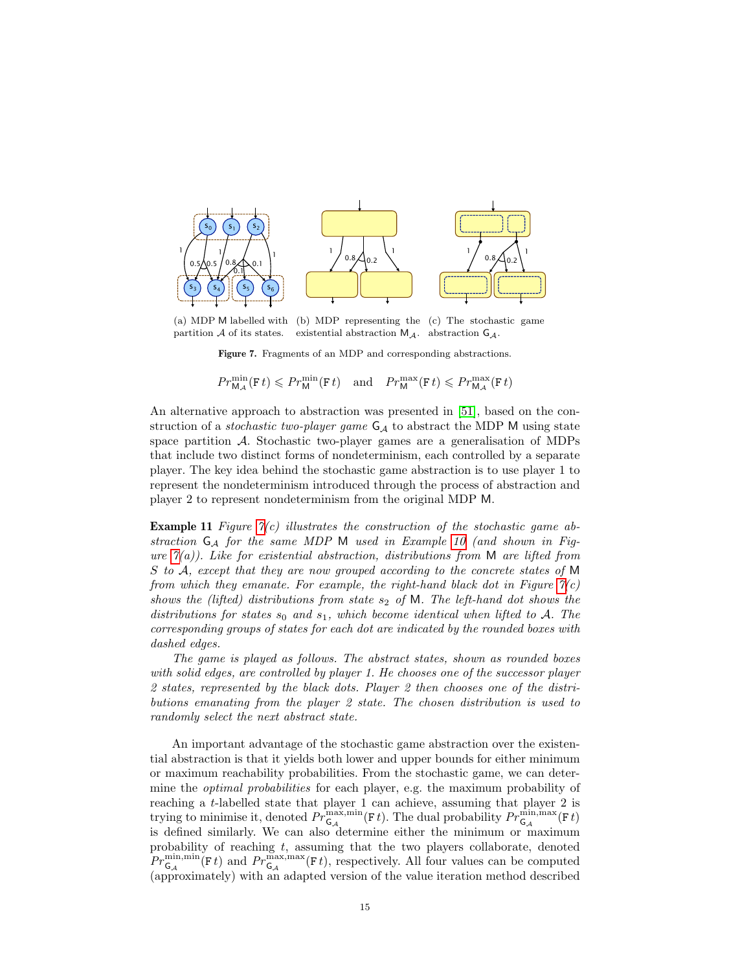

(a) MDP M labelled with (b) MDP representing the (c) The stochastic game partition A of its states. existential abstraction  $M_A$ . abstraction  $G_A$ .

<span id="page-14-0"></span>Figure 7. Fragments of an MDP and corresponding abstractions.

 $Pr^{\min}_{\mathsf{M}_{\mathcal{A}}}(\mathsf{F}\,t) \leqslant Pr^{\min}_{\mathsf{M}}(\mathsf{F}\,t) \quad \text{and} \quad Pr^{\max}_{\mathsf{M}}(\mathsf{F}\,t) \leqslant Pr^{\max}_{\mathsf{M}_{\mathcal{A}}}(\mathsf{F}\,t)$ 

An alternative approach to abstraction was presented in [\[51\]](#page-25-7), based on the construction of a *stochastic two-player game*  $G_A$  to abstract the MDP M using state space partition A. Stochastic two-player games are a generalisation of MDPs that include two distinct forms of nondeterminism, each controlled by a separate player. The key idea behind the stochastic game abstraction is to use player 1 to represent the nondeterminism introduced through the process of abstraction and player 2 to represent nondeterminism from the original MDP M.

**Example 11** Figure  $\gamma(c)$  illustrates the construction of the stochastic game abstraction  $G_A$  for the same MDP M used in Example [10](#page-13-0) (and shown in Figure  $\mathcal{T}(a)$ ). Like for existential abstraction, distributions from M are lifted from S to A, except that they are now grouped according to the concrete states of M from which they emanate. For example, the right-hand black dot in Figure  $\gamma(c)$ shows the (lifted) distributions from state  $s_2$  of M. The left-hand dot shows the distributions for states  $s_0$  and  $s_1$ , which become identical when lifted to A. The corresponding groups of states for each dot are indicated by the rounded boxes with dashed edges.

The game is played as follows. The abstract states, shown as rounded boxes with solid edges, are controlled by player 1. He chooses one of the successor player 2 states, represented by the black dots. Player 2 then chooses one of the distributions emanating from the player 2 state. The chosen distribution is used to randomly select the next abstract state.

An important advantage of the stochastic game abstraction over the existential abstraction is that it yields both lower and upper bounds for either minimum or maximum reachability probabilities. From the stochastic game, we can determine the *optimal probabilities* for each player, e.g. the maximum probability of reaching a t-labelled state that player 1 can achieve, assuming that player 2 is trying to minimise it, denoted  $Pr_{\mathsf{G}_\mathcal{A}}^{\max,\min}(\mathsf{F} \, t)$ . The dual probability  $Pr_{\mathsf{G}_\mathcal{A}}^{\min,\max}(\mathsf{F} \, t)$ is defined similarly. We can also determine either the minimum or maximum probability of reaching  $t$ , assuming that the two players collaborate, denoted  $Pr_{\mathsf{G}_{\mathcal{A}}}^{\min,\min}(\mathsf{F}t)$  and  $Pr_{\mathsf{G}_{\mathcal{A}}}^{\max,\max}(\mathsf{F}t)$ , respectively. All four values can be computed (approximately) with an adapted version of the value iteration method described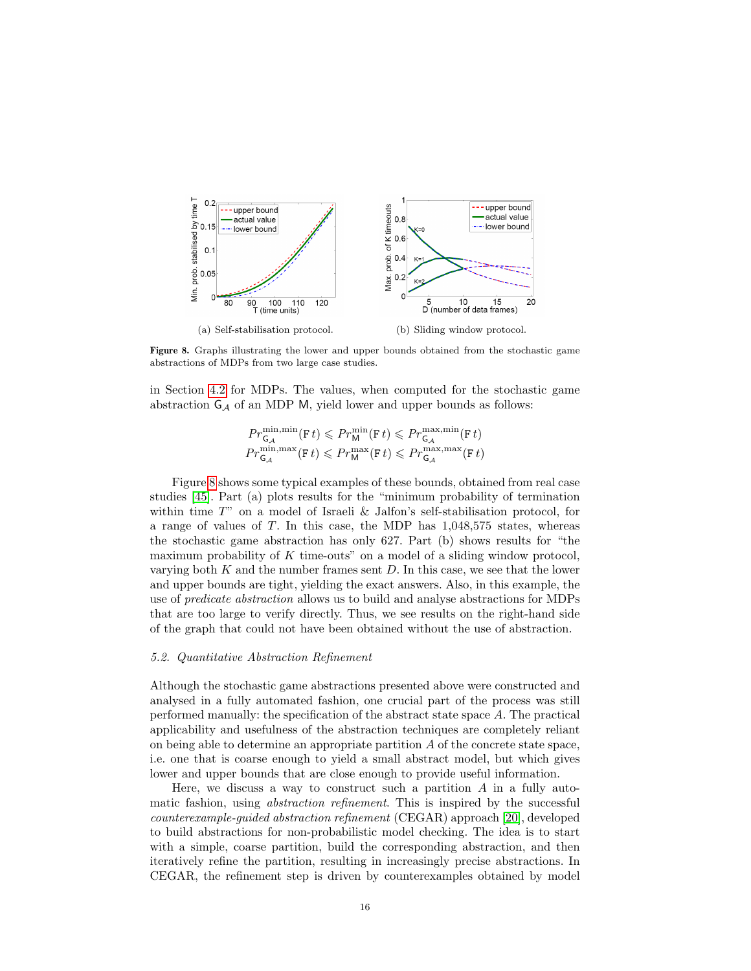

<span id="page-15-0"></span>Figure 8. Graphs illustrating the lower and upper bounds obtained from the stochastic game abstractions of MDPs from two large case studies.

in Section [4.2](#page-9-1) for MDPs. The values, when computed for the stochastic game abstraction  $G_A$  of an MDP M, yield lower and upper bounds as follows:

$$
\begin{split} ⪻^{\min, \min}_{\mathsf{G}_{\mathcal{A}}}(\mathtt{F}t) \leqslant Pr^{\min}_{\mathsf{M}}(\mathtt{F}t) \leqslant Pr^{\max, \min}_{\mathsf{G}_{\mathcal{A}}}(\mathtt{F}t)\\ ⪻^{\min, \max}_{\mathsf{G}_{\mathcal{A}}}(\mathtt{F}t) \leqslant Pr^{\max}_{\mathsf{M}}(\mathtt{F}t) \leqslant Pr^{\max, \max}_{\mathsf{G}_{\mathcal{A}}}(\mathtt{F}t) \end{split}
$$

Figure [8](#page-15-0) shows some typical examples of these bounds, obtained from real case studies [\[45\]](#page-24-5). Part (a) plots results for the "minimum probability of termination within time T" on a model of Israeli & Jalfon's self-stabilisation protocol, for a range of values of T. In this case, the MDP has 1,048,575 states, whereas the stochastic game abstraction has only 627. Part (b) shows results for "the maximum probability of  $K$  time-outs" on a model of a sliding window protocol, varying both  $K$  and the number frames sent  $D$ . In this case, we see that the lower and upper bounds are tight, yielding the exact answers. Also, in this example, the use of *predicate abstraction* allows us to build and analyse abstractions for MDPs that are too large to verify directly. Thus, we see results on the right-hand side of the graph that could not have been obtained without the use of abstraction.

#### 5.2. Quantitative Abstraction Refinement

Although the stochastic game abstractions presented above were constructed and analysed in a fully automated fashion, one crucial part of the process was still performed manually: the specification of the abstract state space A. The practical applicability and usefulness of the abstraction techniques are completely reliant on being able to determine an appropriate partition  $A$  of the concrete state space, i.e. one that is coarse enough to yield a small abstract model, but which gives lower and upper bounds that are close enough to provide useful information.

Here, we discuss a way to construct such a partition  $A$  in a fully automatic fashion, using *abstraction refinement*. This is inspired by the successful counterexample-guided abstraction refinement (CEGAR) approach [\[20\]](#page-23-6), developed to build abstractions for non-probabilistic model checking. The idea is to start with a simple, coarse partition, build the corresponding abstraction, and then iteratively refine the partition, resulting in increasingly precise abstractions. In CEGAR, the refinement step is driven by counterexamples obtained by model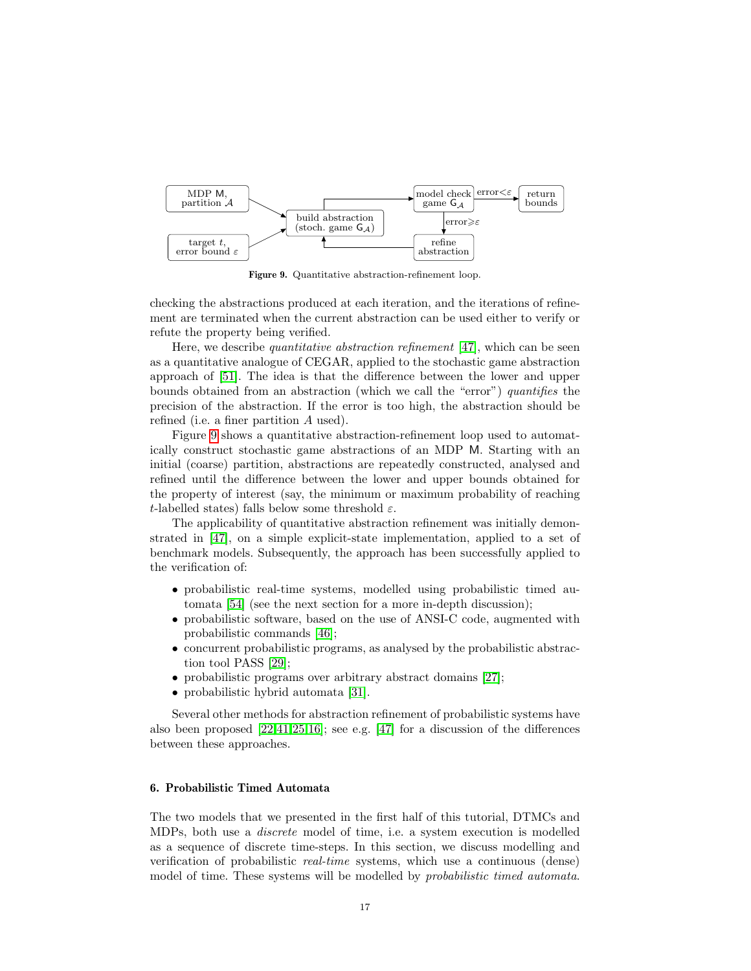

<span id="page-16-0"></span>Figure 9. Quantitative abstraction-refinement loop.

checking the abstractions produced at each iteration, and the iterations of refinement are terminated when the current abstraction can be used either to verify or refute the property being verified.

Here, we describe *quantitative abstraction refinement* [\[47\]](#page-24-6), which can be seen as a quantitative analogue of CEGAR, applied to the stochastic game abstraction approach of [\[51\]](#page-25-7). The idea is that the difference between the lower and upper bounds obtained from an abstraction (which we call the "error") quantifies the precision of the abstraction. If the error is too high, the abstraction should be refined (i.e. a finer partition A used).

Figure [9](#page-16-0) shows a quantitative abstraction-refinement loop used to automatically construct stochastic game abstractions of an MDP M. Starting with an initial (coarse) partition, abstractions are repeatedly constructed, analysed and refined until the difference between the lower and upper bounds obtained for the property of interest (say, the minimum or maximum probability of reaching t-labelled states) falls below some threshold  $\varepsilon$ .

The applicability of quantitative abstraction refinement was initially demonstrated in [\[47\]](#page-24-6), on a simple explicit-state implementation, applied to a set of benchmark models. Subsequently, the approach has been successfully applied to the verification of:

- probabilistic real-time systems, modelled using probabilistic timed automata [\[54\]](#page-25-8) (see the next section for a more in-depth discussion);
- probabilistic software, based on the use of ANSI-C code, augmented with probabilistic commands [\[46\]](#page-24-7);
- concurrent probabilistic programs, as analysed by the probabilistic abstraction tool PASS [\[29\]](#page-23-7);
- probabilistic programs over arbitrary abstract domains [\[27\]](#page-23-8);
- probabilistic hybrid automata [\[31\]](#page-24-8).

Several other methods for abstraction refinement of probabilistic systems have also been proposed  $[22,41,25,16]$  $[22,41,25,16]$  $[22,41,25,16]$  $[22,41,25,16]$ ; see e.g.  $[47]$  for a discussion of the differences between these approaches.

## 6. Probabilistic Timed Automata

The two models that we presented in the first half of this tutorial, DTMCs and MDPs, both use a discrete model of time, i.e. a system execution is modelled as a sequence of discrete time-steps. In this section, we discuss modelling and verification of probabilistic real-time systems, which use a continuous (dense) model of time. These systems will be modelled by *probabilistic timed automata*.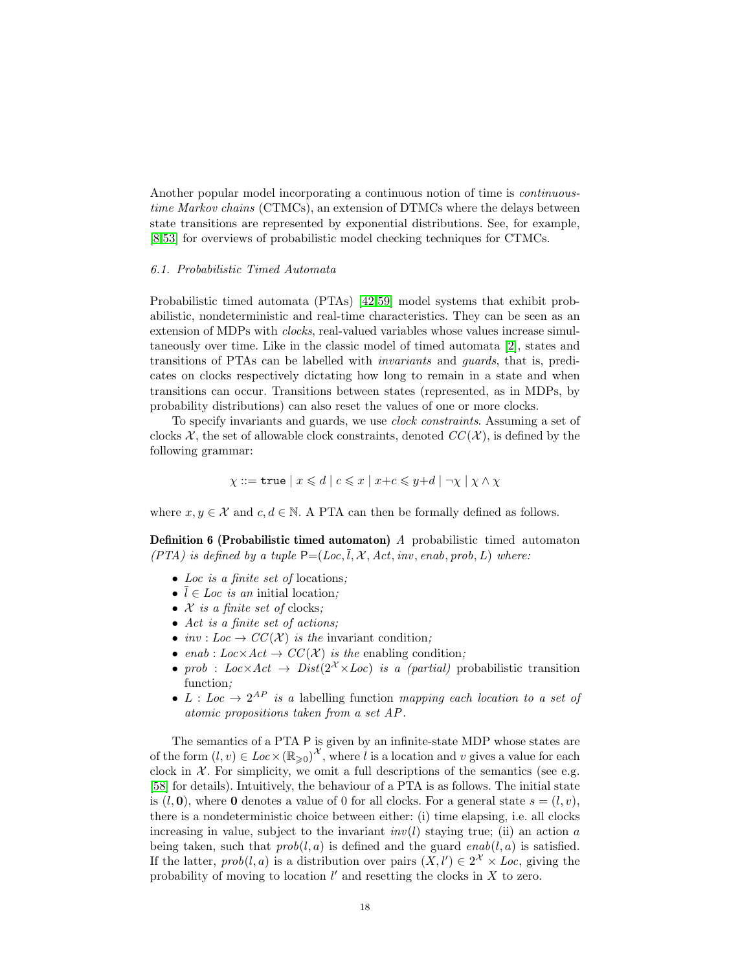Another popular model incorporating a continuous notion of time is continuoustime Markov chains (CTMCs), an extension of DTMCs where the delays between state transitions are represented by exponential distributions. See, for example, [\[8,](#page-22-1)[53\]](#page-25-4) for overviews of probabilistic model checking techniques for CTMCs.

#### 6.1. Probabilistic Timed Automata

Probabilistic timed automata (PTAs) [\[42,](#page-24-10)[59\]](#page-25-9) model systems that exhibit probabilistic, nondeterministic and real-time characteristics. They can be seen as an extension of MDPs with clocks, real-valued variables whose values increase simultaneously over time. Like in the classic model of timed automata [\[2\]](#page-22-6), states and transitions of PTAs can be labelled with invariants and guards, that is, predicates on clocks respectively dictating how long to remain in a state and when transitions can occur. Transitions between states (represented, as in MDPs, by probability distributions) can also reset the values of one or more clocks.

To specify invariants and guards, we use clock constraints. Assuming a set of clocks X, the set of allowable clock constraints, denoted  $CC(X)$ , is defined by the following grammar:

$$
\chi ::= \texttt{true} \mid x \leq d \mid c \leq x \mid x + c \leq y + d \mid \neg \chi \mid \chi \wedge \chi
$$

where  $x, y \in \mathcal{X}$  and  $c, d \in \mathbb{N}$ . A PTA can then be formally defined as follows.

Definition 6 (Probabilistic timed automaton) A probabilistic timed automaton (PTA) is defined by a tuple  $P=(Loc, \overline{l}, \mathcal{X}, Act, inv, enab, prob, L)$  where:

- Loc is a finite set of locations;
- $\overline{l} \in Loc$  *is an* initial location;
- $X$  is a finite set of clocks;
- Act is a finite set of actions;
- inv : Loc  $\rightarrow CC(X)$  is the invariant condition:
- enab :  $Loc \times Act \rightarrow CC(X)$  is the enabling condition;
- prob :  $Loc \times Act \rightarrow Dist(2^X \times Loc)$  is a (partial) probabilistic transition function;
- L : Loc  $\rightarrow 2^{AP}$  is a labelling function mapping each location to a set of atomic propositions taken from a set AP .

<span id="page-17-0"></span>The semantics of a PTA P is given by an infinite-state MDP whose states are of the form  $(l, v) \in Loc \times (\mathbb{R}_{\geqslant 0})^{\mathcal{X}}$ , where l is a location and v gives a value for each clock in  $X$ . For simplicity, we omit a full descriptions of the semantics (see e.g. [\[58\]](#page-25-10) for details). Intuitively, the behaviour of a PTA is as follows. The initial state is  $(l, 0)$ , where 0 denotes a value of 0 for all clocks. For a general state  $s = (l, v)$ , there is a nondeterministic choice between either: (i) time elapsing, i.e. all clocks increasing in value, subject to the invariant  $inv(l)$  staying true; (ii) an action a being taken, such that  $prob(l, a)$  is defined and the guard  $enab(l, a)$  is satisfied. If the latter,  $prob(l, a)$  is a distribution over pairs  $(X, l') \in 2^{\mathcal{X}} \times Loc$ , giving the probability of moving to location  $l'$  and resetting the clocks in  $X$  to zero.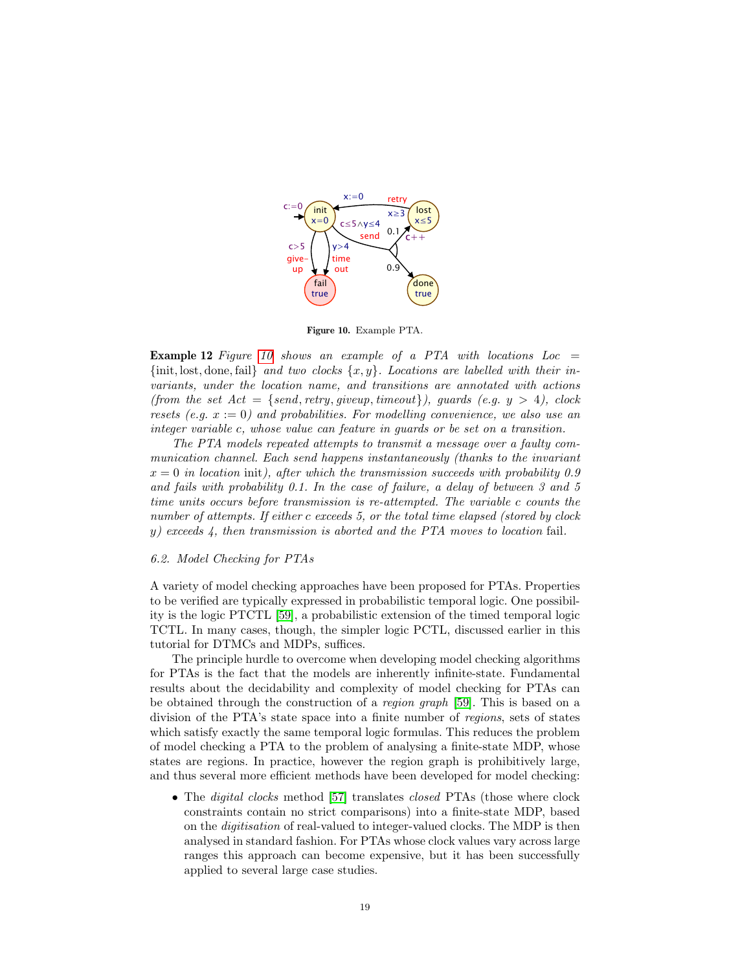

<span id="page-18-0"></span>Figure 10. Example PTA.

**Example 12** Figure [10](#page-18-0) shows an example of a PTA with locations  $Loc =$  $\{\text{init}, \text{lost}, \text{done}, \text{fail}\}$  and two clocks  $\{x, y\}$ . Locations are labelled with their invariants, under the location name, and transitions are annotated with actions (from the set  $Act = \{send, retry, given, timeout\}$ ), guards (e.g.  $y > 4$ ), clock resets (e.g.  $x := 0$ ) and probabilities. For modelling convenience, we also use an integer variable c, whose value can feature in guards or be set on a transition.

The PTA models repeated attempts to transmit a message over a faulty communication channel. Each send happens instantaneously (thanks to the invariant  $x = 0$  in location init), after which the transmission succeeds with probability 0.9 and fails with probability 0.1. In the case of failure, a delay of between 3 and 5 time units occurs before transmission is re-attempted. The variable c counts the number of attempts. If either c exceeds 5, or the total time elapsed (stored by clock y) exceeds 4, then transmission is aborted and the PTA moves to location fail.

#### 6.2. Model Checking for PTAs

A variety of model checking approaches have been proposed for PTAs. Properties to be verified are typically expressed in probabilistic temporal logic. One possibility is the logic PTCTL [\[59\]](#page-25-9), a probabilistic extension of the timed temporal logic TCTL. In many cases, though, the simpler logic PCTL, discussed earlier in this tutorial for DTMCs and MDPs, suffices.

The principle hurdle to overcome when developing model checking algorithms for PTAs is the fact that the models are inherently infinite-state. Fundamental results about the decidability and complexity of model checking for PTAs can be obtained through the construction of a *region graph* [\[59\]](#page-25-9). This is based on a division of the PTA's state space into a finite number of regions, sets of states which satisfy exactly the same temporal logic formulas. This reduces the problem of model checking a PTA to the problem of analysing a finite-state MDP, whose states are regions. In practice, however the region graph is prohibitively large, and thus several more efficient methods have been developed for model checking:

• The *digital clocks* method [\[57\]](#page-25-11) translates *closed* PTAs (those where clock constraints contain no strict comparisons) into a finite-state MDP, based on the digitisation of real-valued to integer-valued clocks. The MDP is then analysed in standard fashion. For PTAs whose clock values vary across large ranges this approach can become expensive, but it has been successfully applied to several large case studies.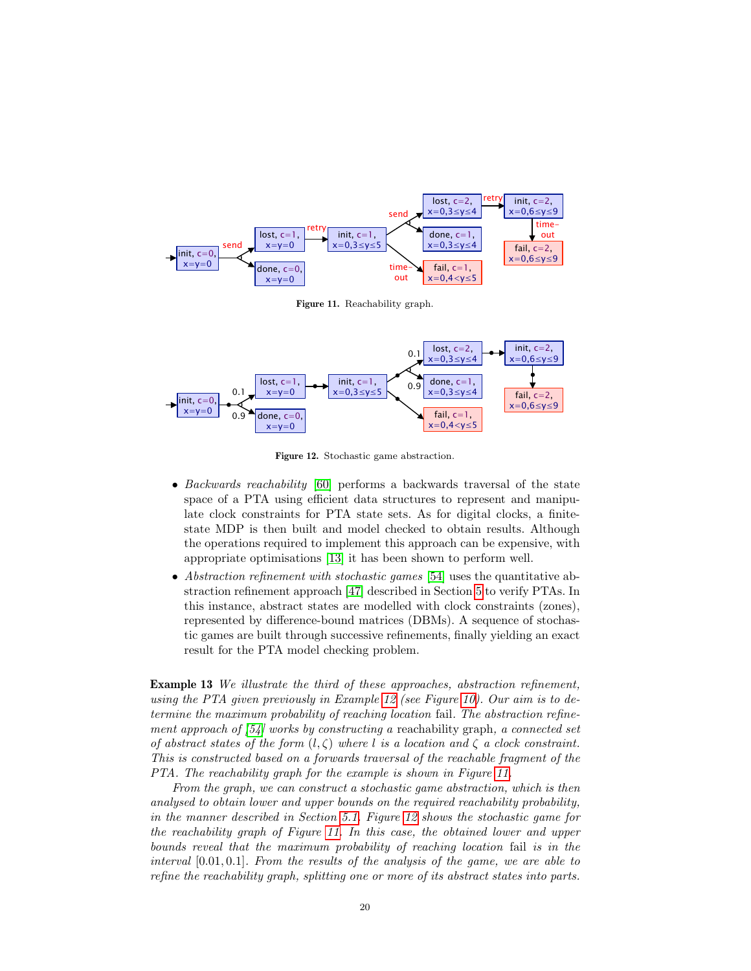

<span id="page-19-0"></span>Figure 11. Reachability graph.



<span id="page-19-1"></span>Figure 12. Stochastic game abstraction.

- Backwards reachability [\[60\]](#page-25-12) performs a backwards traversal of the state space of a PTA using efficient data structures to represent and manipulate clock constraints for PTA state sets. As for digital clocks, a finitestate MDP is then built and model checked to obtain results. Although the operations required to implement this approach can be expensive, with appropriate optimisations [\[13\]](#page-22-7) it has been shown to perform well.
- Abstraction refinement with stochastic games [\[54\]](#page-25-8) uses the quantitative abstraction refinement approach [\[47\]](#page-24-6) described in Section [5](#page-13-1) to verify PTAs. In this instance, abstract states are modelled with clock constraints (zones), represented by difference-bound matrices (DBMs). A sequence of stochastic games are built through successive refinements, finally yielding an exact result for the PTA model checking problem.

**Example 13** We illustrate the third of these approaches, abstraction refinement, using the PTA given previously in Example [12](#page-17-0) (see Figure [10\)](#page-18-0). Our aim is to determine the maximum probability of reaching location fail. The abstraction refinement approach of  $[54]$  works by constructing a reachability graph, a connected set of abstract states of the form  $(l, \zeta)$  where l is a location and  $\zeta$  a clock constraint. This is constructed based on a forwards traversal of the reachable fragment of the PTA. The reachability graph for the example is shown in Figure [11.](#page-19-0)

From the graph, we can construct a stochastic game abstraction, which is then analysed to obtain lower and upper bounds on the required reachability probability, in the manner described in Section [5.1.](#page-13-2) Figure [12](#page-19-1) shows the stochastic game for the reachability graph of Figure [11.](#page-19-0) In this case, the obtained lower and upper bounds reveal that the maximum probability of reaching location fail is in the interval  $[0.01, 0.1]$ . From the results of the analysis of the game, we are able to refine the reachability graph, splitting one or more of its abstract states into parts.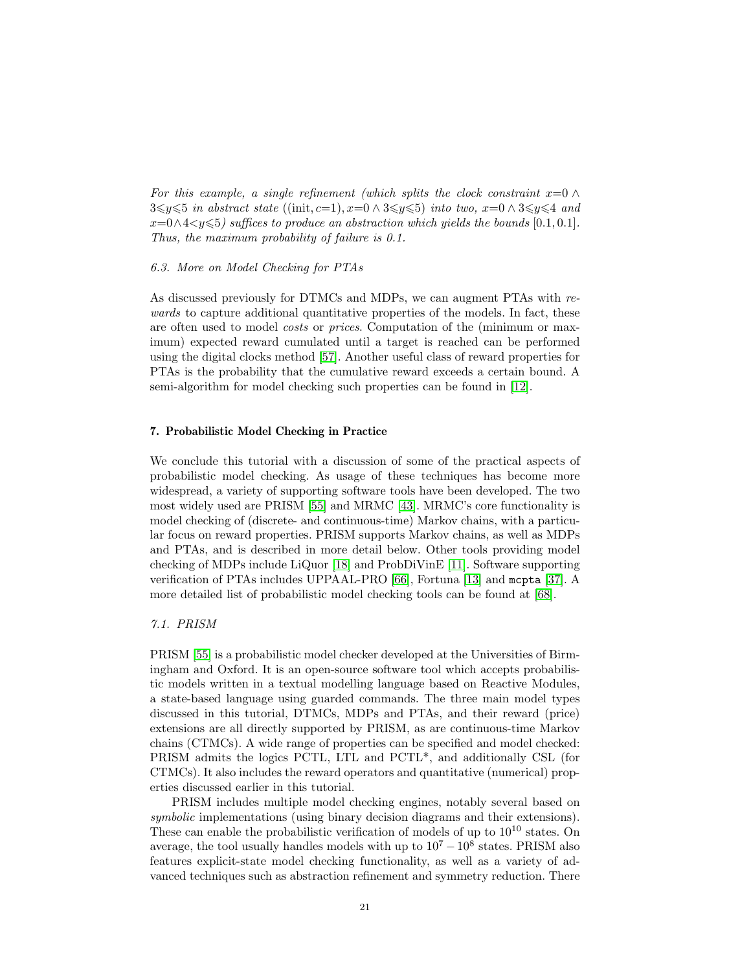For this example, a single refinement (which splits the clock constraint  $x=0 \wedge$  $3\leq y \leq 5$  in abstract state ((init, c=1), x=0 ∧ 3 $\leq y \leq 5$ ) into two, x=0 ∧ 3 $\leq y \leq 4$  and  $x=0 \land 4 < y \leq 5$ ) suffices to produce an abstraction which yields the bounds [0.1, 0.1]. Thus, the maximum probability of failure is 0.1.

#### 6.3. More on Model Checking for PTAs

As discussed previously for DTMCs and MDPs, we can augment PTAs with rewards to capture additional quantitative properties of the models. In fact, these are often used to model costs or prices. Computation of the (minimum or maximum) expected reward cumulated until a target is reached can be performed using the digital clocks method [\[57\]](#page-25-11). Another useful class of reward properties for PTAs is the probability that the cumulative reward exceeds a certain bound. A semi-algorithm for model checking such properties can be found in [\[12\]](#page-22-8).

## 7. Probabilistic Model Checking in Practice

We conclude this tutorial with a discussion of some of the practical aspects of probabilistic model checking. As usage of these techniques has become more widespread, a variety of supporting software tools have been developed. The two most widely used are PRISM [\[55\]](#page-25-3) and MRMC [\[43\]](#page-24-11). MRMC's core functionality is model checking of (discrete- and continuous-time) Markov chains, with a particular focus on reward properties. PRISM supports Markov chains, as well as MDPs and PTAs, and is described in more detail below. Other tools providing model checking of MDPs include LiQuor [\[18\]](#page-23-11) and ProbDiVinE [\[11\]](#page-22-9). Software supporting verification of PTAs includes UPPAAL-PRO [\[66\]](#page-25-13), Fortuna [\[13\]](#page-22-7) and mcpta [\[37\]](#page-24-12). A more detailed list of probabilistic model checking tools can be found at [\[68\]](#page-25-14).

#### 7.1. PRISM

PRISM [\[55\]](#page-25-3) is a probabilistic model checker developed at the Universities of Birmingham and Oxford. It is an open-source software tool which accepts probabilistic models written in a textual modelling language based on Reactive Modules, a state-based language using guarded commands. The three main model types discussed in this tutorial, DTMCs, MDPs and PTAs, and their reward (price) extensions are all directly supported by PRISM, as are continuous-time Markov chains (CTMCs). A wide range of properties can be specified and model checked: PRISM admits the logics PCTL, LTL and PCTL\*, and additionally CSL (for CTMCs). It also includes the reward operators and quantitative (numerical) properties discussed earlier in this tutorial.

PRISM includes multiple model checking engines, notably several based on symbolic implementations (using binary decision diagrams and their extensions). These can enable the probabilistic verification of models of up to  $10^{10}$  states. On average, the tool usually handles models with up to  $10^7 - 10^8$  states. PRISM also features explicit-state model checking functionality, as well as a variety of advanced techniques such as abstraction refinement and symmetry reduction. There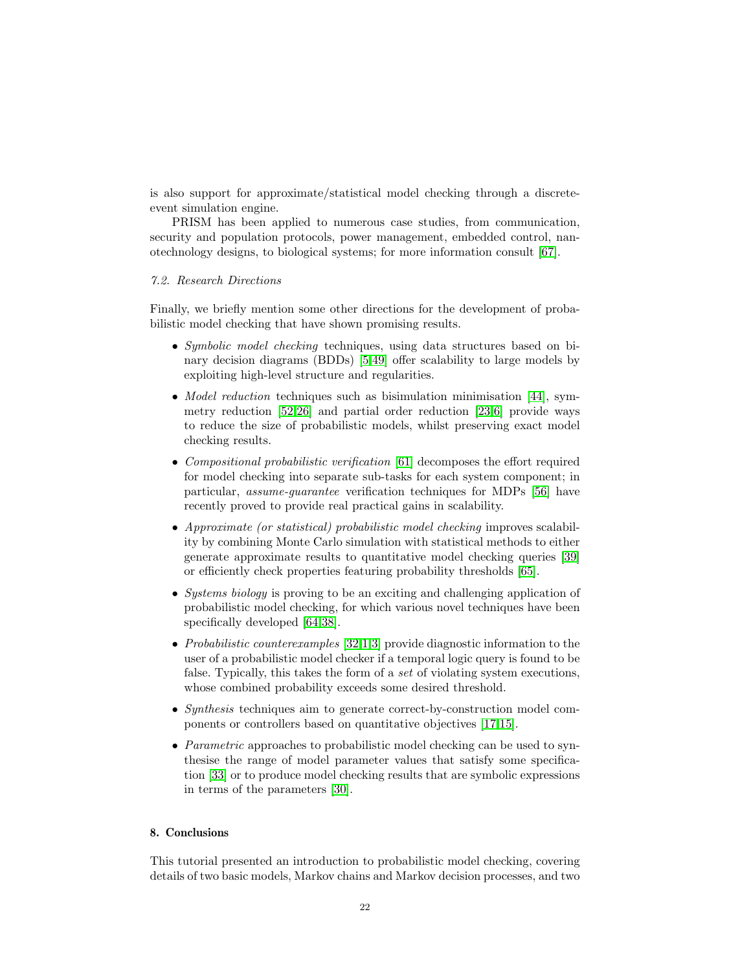is also support for approximate/statistical model checking through a discreteevent simulation engine.

PRISM has been applied to numerous case studies, from communication, security and population protocols, power management, embedded control, nanotechnology designs, to biological systems; for more information consult [\[67\]](#page-25-2).

# 7.2. Research Directions

Finally, we briefly mention some other directions for the development of probabilistic model checking that have shown promising results.

- Symbolic model checking techniques, using data structures based on binary decision diagrams (BDDs) [\[5,](#page-22-2)[49\]](#page-25-15) offer scalability to large models by exploiting high-level structure and regularities.
- *Model reduction* techniques such as bisimulation minimisation [\[44\]](#page-24-13), symmetry reduction [\[52,](#page-25-16)[26\]](#page-23-12) and partial order reduction [\[23,](#page-23-13)[6\]](#page-22-10) provide ways to reduce the size of probabilistic models, whilst preserving exact model checking results.
- Compositional probabilistic verification [\[61\]](#page-25-5) decomposes the effort required for model checking into separate sub-tasks for each system component; in particular, assume-guarantee verification techniques for MDPs [\[56\]](#page-25-17) have recently proved to provide real practical gains in scalability.
- Approximate (or statistical) probabilistic model checking improves scalability by combining Monte Carlo simulation with statistical methods to either generate approximate results to quantitative model checking queries [\[39\]](#page-24-14) or efficiently check properties featuring probability thresholds [\[65\]](#page-25-18).
- Systems biology is proving to be an exciting and challenging application of probabilistic model checking, for which various novel techniques have been specifically developed [\[64,](#page-25-19)[38\]](#page-24-15).
- Probabilistic counterexamples [\[32,](#page-24-16)[1](#page-22-11)[,3\]](#page-22-12) provide diagnostic information to the user of a probabilistic model checker if a temporal logic query is found to be false. Typically, this takes the form of a set of violating system executions, whose combined probability exceeds some desired threshold.
- Synthesis techniques aim to generate correct-by-construction model components or controllers based on quantitative objectives [\[17,](#page-23-14)[15\]](#page-23-15).
- *Parametric* approaches to probabilistic model checking can be used to synthesise the range of model parameter values that satisfy some specification [\[33\]](#page-24-17) or to produce model checking results that are symbolic expressions in terms of the parameters [\[30\]](#page-24-18).

#### 8. Conclusions

This tutorial presented an introduction to probabilistic model checking, covering details of two basic models, Markov chains and Markov decision processes, and two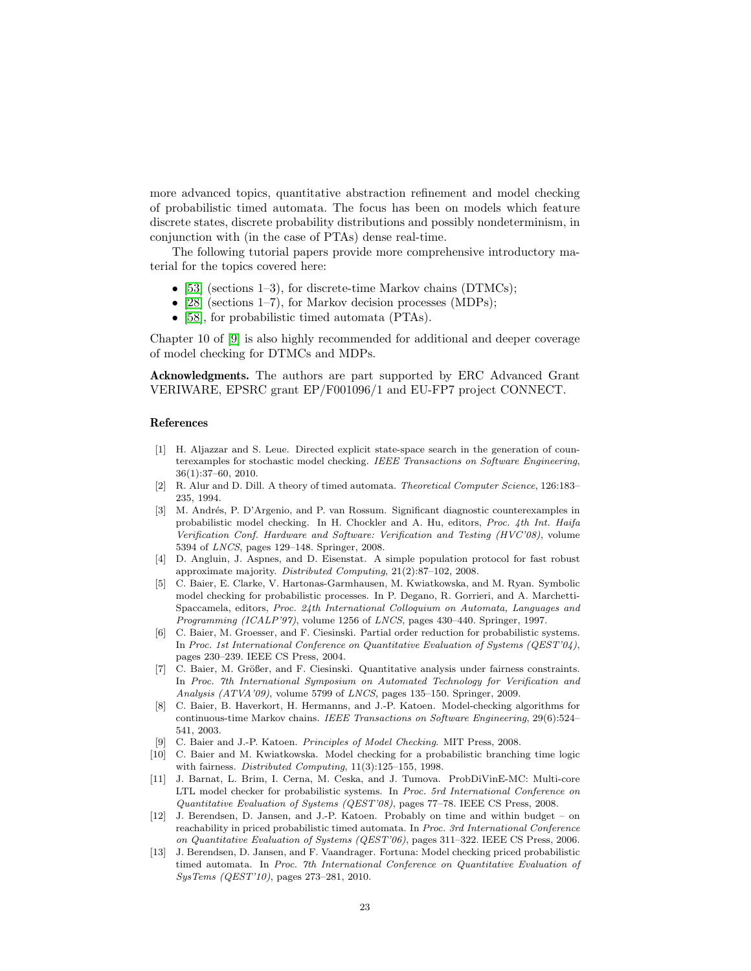more advanced topics, quantitative abstraction refinement and model checking of probabilistic timed automata. The focus has been on models which feature discrete states, discrete probability distributions and possibly nondeterminism, in conjunction with (in the case of PTAs) dense real-time.

The following tutorial papers provide more comprehensive introductory material for the topics covered here:

- [\[53\]](#page-25-4) (sections 1–3), for discrete-time Markov chains  $(DTMCs)$ ;
- [\[28\]](#page-23-4) (sections 1–7), for Markov decision processes (MDPs);
- [\[58\]](#page-25-10), for probabilistic timed automata (PTAs).

Chapter 10 of [\[9\]](#page-22-3) is also highly recommended for additional and deeper coverage of model checking for DTMCs and MDPs.

Acknowledgments. The authors are part supported by ERC Advanced Grant VERIWARE, EPSRC grant EP/F001096/1 and EU-FP7 project CONNECT.

#### References

- <span id="page-22-11"></span>[1] H. Aljazzar and S. Leue. Directed explicit state-space search in the generation of counterexamples for stochastic model checking. IEEE Transactions on Software Engineering, 36(1):37–60, 2010.
- <span id="page-22-6"></span>[2] R. Alur and D. Dill. A theory of timed automata. Theoretical Computer Science, 126:183– 235, 1994.
- <span id="page-22-12"></span>[3] M. Andrés, P. D'Argenio, and P. van Rossum. Significant diagnostic counterexamples in probabilistic model checking. In H. Chockler and A. Hu, editors, Proc. 4th Int. Haifa Verification Conf. Hardware and Software: Verification and Testing (HVC'08), volume 5394 of LNCS, pages 129–148. Springer, 2008.
- <span id="page-22-0"></span>[4] D. Angluin, J. Aspnes, and D. Eisenstat. A simple population protocol for fast robust approximate majority. Distributed Computing, 21(2):87–102, 2008.
- <span id="page-22-2"></span>[5] C. Baier, E. Clarke, V. Hartonas-Garmhausen, M. Kwiatkowska, and M. Ryan. Symbolic model checking for probabilistic processes. In P. Degano, R. Gorrieri, and A. Marchetti-Spaccamela, editors, Proc. 24th International Colloquium on Automata, Languages and Programming (ICALP'97), volume 1256 of LNCS, pages 430–440. Springer, 1997.
- <span id="page-22-10"></span>[6] C. Baier, M. Groesser, and F. Ciesinski. Partial order reduction for probabilistic systems. In Proc. 1st International Conference on Quantitative Evaluation of Systems (QEST'04), pages 230–239. IEEE CS Press, 2004.
- <span id="page-22-5"></span>[7] C. Baier, M. Größer, and F. Ciesinski. Quantitative analysis under fairness constraints. In Proc. 7th International Symposium on Automated Technology for Verification and Analysis (ATVA'09), volume 5799 of LNCS, pages 135–150. Springer, 2009.
- <span id="page-22-1"></span>[8] C. Baier, B. Haverkort, H. Hermanns, and J.-P. Katoen. Model-checking algorithms for continuous-time Markov chains. IEEE Transactions on Software Engineering, 29(6):524– 541, 2003.
- <span id="page-22-3"></span>[9] C. Baier and J.-P. Katoen. Principles of Model Checking. MIT Press, 2008.
- <span id="page-22-4"></span>[10] C. Baier and M. Kwiatkowska. Model checking for a probabilistic branching time logic with fairness. Distributed Computing, 11(3):125–155, 1998.
- <span id="page-22-9"></span>[11] J. Barnat, L. Brim, I. Cerna, M. Ceska, and J. Tumova. ProbDiVinE-MC: Multi-core LTL model checker for probabilistic systems. In Proc. 5rd International Conference on Quantitative Evaluation of Systems (QEST'08), pages 77–78. IEEE CS Press, 2008.
- <span id="page-22-8"></span>[12] J. Berendsen, D. Jansen, and J.-P. Katoen. Probably on time and within budget – on reachability in priced probabilistic timed automata. In Proc. 3rd International Conference on Quantitative Evaluation of Systems (QEST'06), pages 311–322. IEEE CS Press, 2006.
- <span id="page-22-7"></span>[13] J. Berendsen, D. Jansen, and F. Vaandrager. Fortuna: Model checking priced probabilistic timed automata. In Proc. 7th International Conference on Quantitative Evaluation of SysTems (QEST'10), pages 273–281, 2010.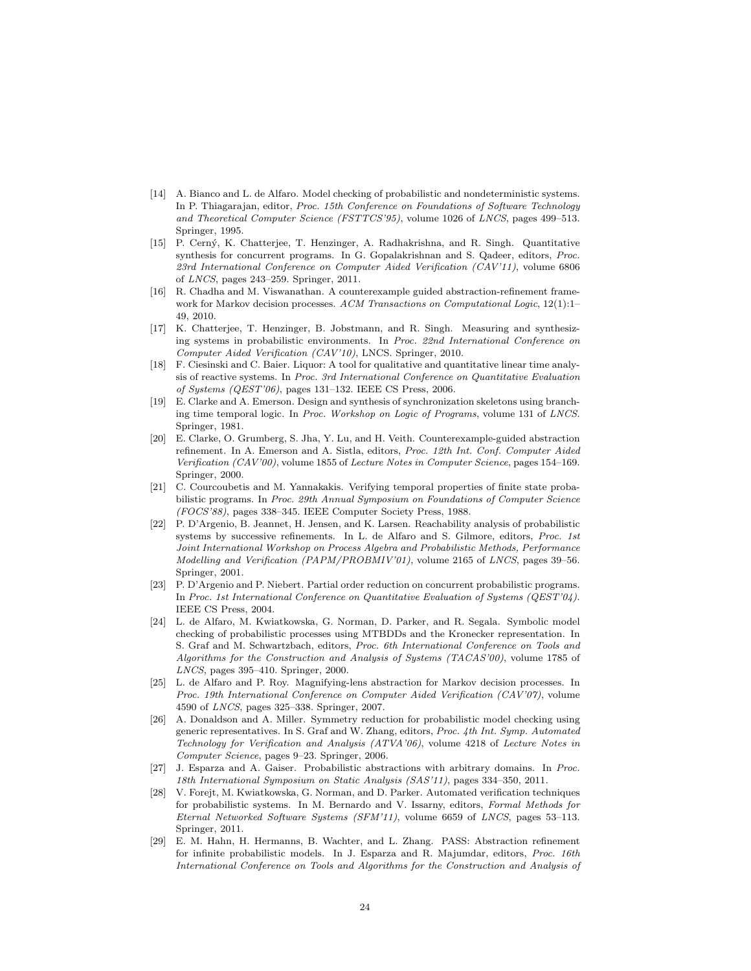- <span id="page-23-1"></span>[14] A. Bianco and L. de Alfaro. Model checking of probabilistic and nondeterministic systems. In P. Thiagarajan, editor, Proc. 15th Conference on Foundations of Software Technology and Theoretical Computer Science (FSTTCS'95), volume 1026 of LNCS, pages 499–513. Springer, 1995.
- <span id="page-23-15"></span>[15] P. Cern´y, K. Chatterjee, T. Henzinger, A. Radhakrishna, and R. Singh. Quantitative synthesis for concurrent programs. In G. Gopalakrishnan and S. Qadeer, editors, Proc. 23rd International Conference on Computer Aided Verification (CAV'11), volume 6806 of LNCS, pages 243–259. Springer, 2011.
- <span id="page-23-10"></span>[16] R. Chadha and M. Viswanathan. A counterexample guided abstraction-refinement framework for Markov decision processes. ACM Transactions on Computational Logic, 12(1):1-49, 2010.
- <span id="page-23-14"></span>[17] K. Chatterjee, T. Henzinger, B. Jobstmann, and R. Singh. Measuring and synthesizing systems in probabilistic environments. In Proc. 22nd International Conference on Computer Aided Verification (CAV'10), LNCS. Springer, 2010.
- <span id="page-23-11"></span>[18] F. Ciesinski and C. Baier. Liquor: A tool for qualitative and quantitative linear time analysis of reactive systems. In Proc. 3rd International Conference on Quantitative Evaluation of Systems (QEST'06), pages 131–132. IEEE CS Press, 2006.
- <span id="page-23-3"></span>[19] E. Clarke and A. Emerson. Design and synthesis of synchronization skeletons using branching time temporal logic. In Proc. Workshop on Logic of Programs, volume 131 of LNCS. Springer, 1981.
- <span id="page-23-6"></span>[20] E. Clarke, O. Grumberg, S. Jha, Y. Lu, and H. Veith. Counterexample-guided abstraction refinement. In A. Emerson and A. Sistla, editors, Proc. 12th Int. Conf. Computer Aided Verification (CAV'00), volume 1855 of Lecture Notes in Computer Science, pages 154–169. Springer, 2000.
- <span id="page-23-0"></span>[21] C. Courcoubetis and M. Yannakakis. Verifying temporal properties of finite state probabilistic programs. In Proc. 29th Annual Symposium on Foundations of Computer Science (FOCS'88), pages 338–345. IEEE Computer Society Press, 1988.
- <span id="page-23-5"></span>[22] P. D'Argenio, B. Jeannet, H. Jensen, and K. Larsen. Reachability analysis of probabilistic systems by successive refinements. In L. de Alfaro and S. Gilmore, editors, Proc. 1st Joint International Workshop on Process Algebra and Probabilistic Methods, Performance Modelling and Verification (PAPM/PROBMIV'01), volume 2165 of LNCS, pages 39–56. Springer, 2001.
- <span id="page-23-13"></span>[23] P. D'Argenio and P. Niebert. Partial order reduction on concurrent probabilistic programs. In Proc. 1st International Conference on Quantitative Evaluation of Systems (QEST'04). IEEE CS Press, 2004.
- <span id="page-23-2"></span>[24] L. de Alfaro, M. Kwiatkowska, G. Norman, D. Parker, and R. Segala. Symbolic model checking of probabilistic processes using MTBDDs and the Kronecker representation. In S. Graf and M. Schwartzbach, editors, Proc. 6th International Conference on Tools and Algorithms for the Construction and Analysis of Systems (TACAS'00), volume 1785 of LNCS, pages 395–410. Springer, 2000.
- <span id="page-23-9"></span>[25] L. de Alfaro and P. Roy. Magnifying-lens abstraction for Markov decision processes. In Proc. 19th International Conference on Computer Aided Verification (CAV'07), volume 4590 of LNCS, pages 325–338. Springer, 2007.
- <span id="page-23-12"></span>[26] A. Donaldson and A. Miller. Symmetry reduction for probabilistic model checking using generic representatives. In S. Graf and W. Zhang, editors, Proc. 4th Int. Symp. Automated Technology for Verification and Analysis (ATVA'06), volume 4218 of Lecture Notes in Computer Science, pages 9–23. Springer, 2006.
- <span id="page-23-8"></span>[27] J. Esparza and A. Gaiser. Probabilistic abstractions with arbitrary domains. In Proc. 18th International Symposium on Static Analysis (SAS'11), pages 334–350, 2011.
- <span id="page-23-4"></span>[28] V. Forejt, M. Kwiatkowska, G. Norman, and D. Parker. Automated verification techniques for probabilistic systems. In M. Bernardo and V. Issarny, editors, Formal Methods for Eternal Networked Software Systems (SFM'11), volume 6659 of LNCS, pages 53–113. Springer, 2011.
- <span id="page-23-7"></span>[29] E. M. Hahn, H. Hermanns, B. Wachter, and L. Zhang. PASS: Abstraction refinement for infinite probabilistic models. In J. Esparza and R. Majumdar, editors, Proc. 16th International Conference on Tools and Algorithms for the Construction and Analysis of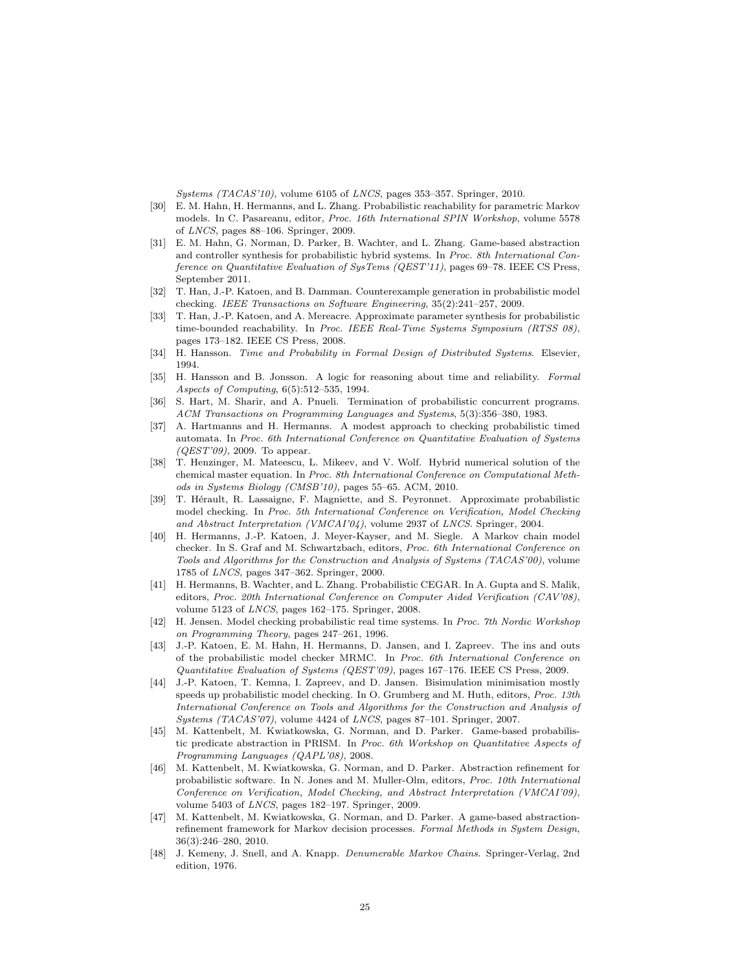Systems (TACAS'10), volume 6105 of LNCS, pages 353–357. Springer, 2010.

- <span id="page-24-18"></span>[30] E. M. Hahn, H. Hermanns, and L. Zhang. Probabilistic reachability for parametric Markov models. In C. Pasareanu, editor, Proc. 16th International SPIN Workshop, volume 5578 of LNCS, pages 88–106. Springer, 2009.
- <span id="page-24-8"></span>[31] E. M. Hahn, G. Norman, D. Parker, B. Wachter, and L. Zhang. Game-based abstraction and controller synthesis for probabilistic hybrid systems. In Proc. 8th International Conference on Quantitative Evaluation of SysTems (QEST'11), pages 69–78. IEEE CS Press, September 2011.
- <span id="page-24-16"></span>[32] T. Han, J.-P. Katoen, and B. Damman. Counterexample generation in probabilistic model checking. IEEE Transactions on Software Engineering, 35(2):241–257, 2009.
- <span id="page-24-17"></span>[33] T. Han, J.-P. Katoen, and A. Mereacre. Approximate parameter synthesis for probabilistic time-bounded reachability. In Proc. IEEE Real-Time Systems Symposium (RTSS 08), pages 173–182. IEEE CS Press, 2008.
- <span id="page-24-2"></span>[34] H. Hansson. Time and Probability in Formal Design of Distributed Systems. Elsevier, 1994.
- <span id="page-24-1"></span>[35] H. Hansson and B. Jonsson. A logic for reasoning about time and reliability. Formal Aspects of Computing, 6(5):512–535, 1994.
- <span id="page-24-0"></span>[36] S. Hart, M. Sharir, and A. Pnueli. Termination of probabilistic concurrent programs. ACM Transactions on Programming Languages and Systems, 5(3):356–380, 1983.
- <span id="page-24-12"></span>[37] A. Hartmanns and H. Hermanns. A modest approach to checking probabilistic timed automata. In Proc. 6th International Conference on Quantitative Evaluation of Systems  $(QEST'09)$ , 2009. To appear.
- <span id="page-24-15"></span>[38] T. Henzinger, M. Mateescu, L. Mikeev, and V. Wolf. Hybrid numerical solution of the chemical master equation. In Proc. 8th International Conference on Computational Methods in Systems Biology (CMSB'10), pages 55–65. ACM, 2010.
- <span id="page-24-14"></span>[39] T. Hérault, R. Lassaigne, F. Magniette, and S. Peyronnet. Approximate probabilistic model checking. In Proc. 5th International Conference on Verification, Model Checking and Abstract Interpretation (VMCAI'04), volume 2937 of LNCS. Springer, 2004.
- <span id="page-24-3"></span>[40] H. Hermanns, J.-P. Katoen, J. Meyer-Kayser, and M. Siegle. A Markov chain model checker. In S. Graf and M. Schwartzbach, editors, Proc. 6th International Conference on Tools and Algorithms for the Construction and Analysis of Systems (TACAS'00), volume 1785 of LNCS, pages 347–362. Springer, 2000.
- <span id="page-24-9"></span>[41] H. Hermanns, B. Wachter, and L. Zhang. Probabilistic CEGAR. In A. Gupta and S. Malik, editors, Proc. 20th International Conference on Computer Aided Verification (CAV'08), volume 5123 of LNCS, pages 162–175. Springer, 2008.
- <span id="page-24-10"></span>[42] H. Jensen. Model checking probabilistic real time systems. In Proc. 7th Nordic Workshop on Programming Theory, pages 247–261, 1996.
- <span id="page-24-11"></span>[43] J.-P. Katoen, E. M. Hahn, H. Hermanns, D. Jansen, and I. Zapreev. The ins and outs of the probabilistic model checker MRMC. In Proc. 6th International Conference on Quantitative Evaluation of Systems (QEST'09), pages 167–176. IEEE CS Press, 2009.
- <span id="page-24-13"></span>[44] J.-P. Katoen, T. Kemna, I. Zapreev, and D. Jansen. Bisimulation minimisation mostly speeds up probabilistic model checking. In O. Grumberg and M. Huth, editors, Proc. 13th International Conference on Tools and Algorithms for the Construction and Analysis of Systems (TACAS'07), volume 4424 of LNCS, pages 87–101. Springer, 2007.
- <span id="page-24-5"></span>[45] M. Kattenbelt, M. Kwiatkowska, G. Norman, and D. Parker. Game-based probabilistic predicate abstraction in PRISM. In Proc. 6th Workshop on Quantitative Aspects of Programming Languages (QAPL'08), 2008.
- <span id="page-24-7"></span>[46] M. Kattenbelt, M. Kwiatkowska, G. Norman, and D. Parker. Abstraction refinement for probabilistic software. In N. Jones and M. Muller-Olm, editors, Proc. 10th International Conference on Verification, Model Checking, and Abstract Interpretation (VMCAI'09), volume 5403 of LNCS, pages 182–197. Springer, 2009.
- <span id="page-24-6"></span>[47] M. Kattenbelt, M. Kwiatkowska, G. Norman, and D. Parker. A game-based abstractionrefinement framework for Markov decision processes. Formal Methods in System Design, 36(3):246–280, 2010.
- <span id="page-24-4"></span>[48] J. Kemeny, J. Snell, and A. Knapp. Denumerable Markov Chains. Springer-Verlag, 2nd edition, 1976.